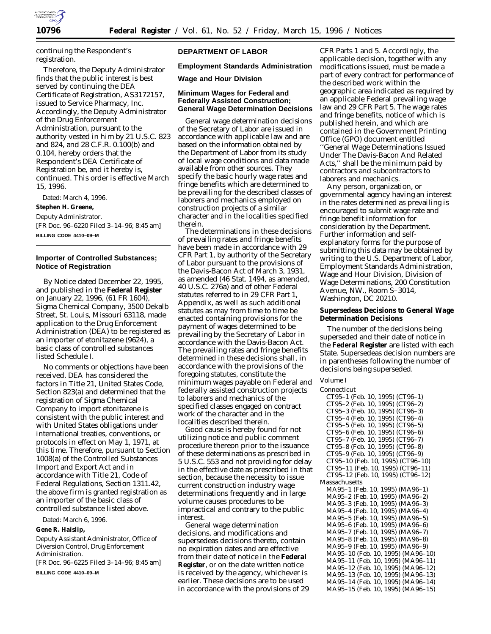

continuing the Respondent's registration.

Therefore, the Deputy Administrator finds that the public interest is best served by continuing the DEA Certificate of Registration, AS3172157, issued to Service Pharmacy, Inc. Accordingly, the Deputy Administrator of the Drug Enforcement Administration, pursuant to the authority vested in him by 21 U.S.C. 823 and 824, and 28 C.F.R. 0.100(b) and 0.104, hereby orders that the Respondent's DEA Certificate of Registration be, and it hereby is, continued. This order is effective March 15, 1996.

Dated: March 4, 1996.

**Stephen H. Greene,**

*Deputy Administrator.*

[FR Doc. 96–6220 Filed 3–14–96; 8:45 am] **BILLING CODE 4410–09–M**

# **Importer of Controlled Substances; Notice of Registration**

By Notice dated December 22, 1995, and published in the **Federal Register** on January 22, 1996, (61 FR 1604), Sigma Chemical Company, 3500 Dekalb Street, St. Louis, Missouri 63118, made application to the Drug Enforcement Administration (DEA) to be registered as an importer of etonitazene (9624), a basic class of controlled substances listed Schedule I.

No comments or objections have been received. DEA has considered the factors in Title 21, United States Code, Section 823(a) and determined that the registration of Sigma Chemical Company to import etonitazene is consistent with the public interest and with United States obligations under international treaties, conventions, or protocols in effect on May 1, 1971, at this time. Therefore, pursuant to Section 1008(a) of the Controlled Substances Import and Export Act and in accordance with Title 21, Code of Federal Regulations, Section 1311.42, the above firm is granted registration as an importer of the basic class of controlled substance listed above.

Dated: March 6, 1996.

**Gene R. Haislip,**

*Deputy Assistant Administrator, Office of Diversion Control, Drug Enforcement Administration.*

[FR Doc. 96–6225 Filed 3–14–96; 8:45 am]

**BILLING CODE 4410–09–M**

### **DEPARTMENT OF LABOR**

**Employment Standards Administration**

**Wage and Hour Division**

### **Minimum Wages for Federal and Federally Assisted Construction; General Wage Determination Decisions**

General wage determination decisions of the Secretary of Labor are issued in accordance with applicable law and are based on the information obtained by the Department of Labor from its study of local wage conditions and data made available from other sources. They specify the basic hourly wage rates and fringe benefits which are determined to be prevailing for the described classes of laborers and mechanics employed on construction projects of a similar character and in the localities specified therein.

The determinations in these decisions of prevailing rates and fringe benefits have been made in accordance with 29 CFR Part 1, by authority of the Secretary of Labor pursuant to the provisions of the Davis-Bacon Act of March 3, 1931, as amended (46 Stat. 1494, as amended, 40 U.S.C. 276a) and of other Federal statutes referred to in 29 CFR Part 1, Appendix, as well as such additional statutes as may from time to time be enacted containing provisions for the payment of wages determined to be prevailing by the Secretary of Labor in accordance with the Davis-Bacon Act. The prevailing rates and fringe benefits determined in these decisions shall, in accordance with the provisions of the foregoing statutes, constitute the minimum wages payable on Federal and federally assisted construction projects to laborers and mechanics of the specified classes engaged on contract work of the character and in the localities described therein.

Good cause is hereby found for not utilizing notice and public comment procedure thereon prior to the issuance of these determinations as prescribed in 5 U.S.C. 553 and not providing for delay in the effective date as prescribed in that section, because the necessity to issue current construction industry wage determinations frequently and in large volume causes procedures to be impractical and contrary to the public interest.

General wage determination decisions, and modifications and supersedeas decisions thereto, contain no expiration dates and are effective from their date of notice in the **Federal Register**, or on the date written notice is received by the agency, whichever is earlier. These decisions are to be used in accordance with the provisions of 29

CFR Parts 1 and 5. Accordingly, the applicable decision, together with any modifications issued, must be made a part of every contract for performance of the described work within the geographic area indicated as required by an applicable Federal prevailing wage law and 29 CFR Part 5. The wage rates and fringe benefits, notice of which is published herein, and which are contained in the Government Printing Office (GPO) document entitled ''General Wage Determinations Issued Under The Davis-Bacon And Related Acts,'' shall be the minimum paid by contractors and subcontractors to laborers and mechanics.

Any person, organization, or governmental agency having an interest in the rates determined as prevailing is encouraged to submit wage rate and fringe benefit information for consideration by the Department. Further information and selfexplanatory forms for the purpose of submitting this data may be obtained by writing to the U.S. Department of Labor, Employment Standards Administration, Wage and Hour Division, Division of Wage Determinations, 200 Constitution Avenue, NW., Room S–3014, Washington, DC 20210.

**Supersedeas Decisions to General Wage Determination Decisions**

The number of the decisions being superseded and their date of notice in the **Federal Register** are listed with each State. Supersedeas decision numbers are in parentheses following the number of decisions being superseded.

# *Volume I*

```
Connecticut
 CT95–1 (Feb. 10, 1995) (CT96–1)
 CT95–2 (Feb. 10, 1995) (CT96–2)
 CT95–3 (Feb. 10, 1995) (CT96–3)
 CT95–4 (Feb. 10, 1995) (CT96–4)
 CT95–5 (Feb. 10, 1995) (CT96–5)
 CT95–6 (Feb. 10, 1995) (CT96–6)
 CT95–7 (Feb. 10, 1995) (CT96–7)
 CT95–8 (Feb. 10, 1995) (CT96–8)
 CT95–9 (Feb. 10, 1995) (CT96–9)
 CT95–10 (Feb. 10, 1995) (CT96–10)
 CT95–11 (Feb. 10, 1995) (CT96–11)
 CT95–12 (Feb. 10, 1995) (CT96–12)
Massachusetts
 MA95–1 (Feb. 10, 1995) (MA96–1)
 MA95–2 (Feb. 10, 1995) (MA96–2)
 MA95–3 (Feb. 10, 1995) (MA96–3)
 MA95–4 (Feb. 10, 1995) (MA96–4)
 MA95–5 (Feb. 10, 1995) (MA96–5)
 MA95–6 (Feb. 10, 1995) (MA96–6)
 MA95–7 (Feb. 10, 1995) (MA96–7)
 MA95–8 (Feb. 10, 1995) (MA96–8)
 MA95–9 (Feb. 10, 1995) (MA96–9)
 MA95–10 (Feb. 10, 1995) (MA96–10)
 MA95–11 (Feb. 10, 1995) (MA96–11)
 MA95–12 (Feb. 10, 1995) (MA96–12)
 MA95–13 (Feb. 10, 1995) (MA96–13)
 MA95–14 (Feb. 10, 1995) (MA96–14)
 MA95–15 (Feb. 10, 1995) (MA96–15)
```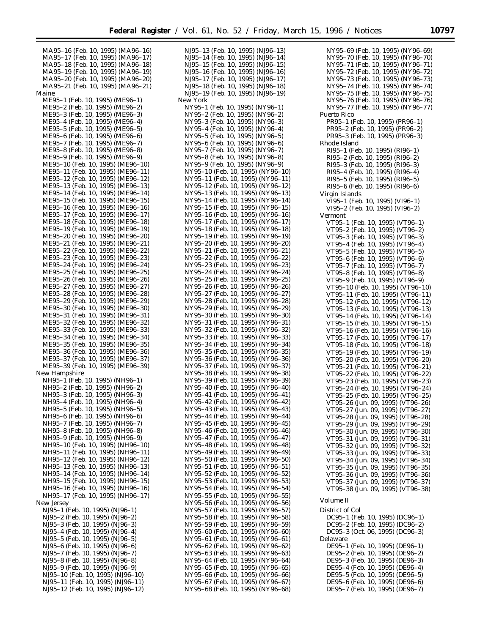MA95–16 (Feb. 10, 1995) (MA96–16) MA95–17 (Feb. 10, 1995) (MA96–17) MA95–18 (Feb. 10, 1995) (MA96–18) MA95–19 (Feb. 10, 1995) (MA96–19) MA95–20 (Feb. 10, 1995) (MA96–20) MA95–21 (Feb. 10, 1995) (MA96–21) Maine ME95–1 (Feb. 10, 1995) (ME96–1) ME95–2 (Feb. 10, 1995) (ME96–2) ME95–3 (Feb. 10, 1995) (ME96–3) ME95–4 (Feb. 10, 1995) (ME96–4) ME95–5 (Feb. 10, 1995) (ME96–5) ME95–6 (Feb. 10, 1995) (ME96–6) ME95–7 (Feb. 10, 1995) (ME96–7) ME95–8 (Feb. 10, 1995) (ME96–8) ME95–9 (Feb. 10, 1995) (ME96–9) ME95–10 (Feb. 10, 1995) (ME96–10) ME95–11 (Feb. 10, 1995) (ME96–11) ME95–12 (Feb. 10, 1995) (ME96–12) ME95–13 (Feb. 10, 1995) (ME96–13) ME95–14 (Feb. 10, 1995) (ME96–14) ME95–15 (Feb. 10, 1995) (ME96–15) ME95–16 (Feb. 10, 1995) (ME96–16) ME95–17 (Feb. 10, 1995) (ME96–17) ME95–18 (Feb. 10, 1995) (ME96–18) ME95–19 (Feb. 10, 1995) (ME96–19) ME95–20 (Feb. 10, 1995) (ME96–20) ME95–21 (Feb. 10, 1995) (ME96–21) ME95–22 (Feb. 10, 1995) (ME96–22) ME95–23 (Feb. 10, 1995) (ME96–23) ME95–24 (Feb. 10, 1995) (ME96–24) ME95–25 (Feb. 10, 1995) (ME96–25) ME95–26 (Feb. 10, 1995) (ME96–26) ME95–27 (Feb. 10, 1995) (ME96–27) ME95–28 (Feb. 10, 1995) (ME96–28) ME95–29 (Feb. 10, 1995) (ME96–29) ME95–30 (Feb. 10, 1995) (ME96–30) ME95–31 (Feb. 10, 1995) (ME96–31) ME95–32 (Feb. 10, 1995) (ME96–32) ME95–33 (Feb. 10, 1995) (ME96–33) ME95–34 (Feb. 10, 1995) (ME96–34) ME95–35 (Feb. 10, 1995) (ME96–35) ME95–36 (Feb. 10, 1995) (ME96–36) ME95–37 (Feb. 10, 1995) (ME96–37) ME95–39 (Feb. 10, 1995) (ME96–39) New Hampshire NH95–1 (Feb. 10, 1995) (NH96–1) NH95–2 (Feb. 10, 1995) (NH96–2) NH95–3 (Feb. 10, 1995) (NH96–3) NH95–4 (Feb. 10, 1995) (NH96–4) NH95–5 (Feb. 10, 1995) (NH96–5) NH95–6 (Feb. 10, 1995) (NH96–6) NH95–7 (Feb. 10, 1995) (NH96–7) NH95–8 (Feb. 10, 1995) (NH96–8) NH95–9 (Feb. 10, 1995) (NH96–9) NH95–10 (Feb. 10, 1995) (NH96–10) NH95–11 (Feb. 10, 1995) (NH96–11) NH95–12 (Feb. 10, 1995) (NH96–12) NH95–13 (Feb. 10, 1995) (NH96–13) NH95–14 (Feb. 10, 1995) (NH96–14) NH95–15 (Feb. 10, 1995) (NH96–15) NH95–16 (Feb. 10, 1995) (NH96–16) NH95–17 (Feb. 10, 1995) (NH96–17) New Jersey NJ95–1 (Feb. 10, 1995) (NJ96–1) NJ95–2 (Feb. 10, 1995) (NJ96–2) NJ95–3 (Feb. 10, 1995) (NJ96–3) NJ95–4 (Feb. 10, 1995) (NJ96–4) NJ95–5 (Feb. 10, 1995) (NJ96–5) NJ95–6 (Feb. 10, 1995) (NJ96–6) NJ95–7 (Feb. 10, 1995) (NJ96–7) NJ95–8 (Feb. 10, 1995) (NJ96–8) NJ95–9 (Feb. 10, 1995) (NJ96–9) NJ95–10 (Feb. 10, 1995) (NJ96–10) NJ95–11 (Feb. 10, 1995) (NJ96–11) NJ95–12 (Feb. 10, 1995) (NJ96–12)

NJ95–13 (Feb. 10, 1995) (NJ96–13) NJ95–14 (Feb. 10, 1995) (NJ96–14) NJ95–15 (Feb. 10, 1995) (NJ96–15) NJ95–16 (Feb. 10, 1995) (NJ96–16) NJ95–17 (Feb. 10, 1995) (NJ96–17) NJ95–18 (Feb. 10, 1995) (NJ96–18) NJ95–19 (Feb. 10, 1995) (NJ96–19) New York NY95–1 (Feb. 10, 1995) (NY96–1) NY95–2 (Feb. 10, 1995) (NY96–2) NY95–3 (Feb. 10, 1995) (NY96–3) NY95–4 (Feb. 10, 1995) (NY96–4) NY95–5 (Feb. 10, 1995) (NY96–5) NY95–6 (Feb. 10, 1995) (NY96–6) NY95–7 (Feb. 10, 1995) (NY96–7) NY95–8 (Feb. 10, 1995) (NY96–8) NY95–9 (Feb. 10, 1995) (NY96–9) NY95–10 (Feb. 10, 1995) (NY96–10) NY95–11 (Feb. 10, 1995) (NY96–11) NY95–12 (Feb. 10, 1995) (NY96–12) NY95–13 (Feb. 10, 1995) (NY96–13) NY95–14 (Feb. 10, 1995) (NY96–14) NY95–15 (Feb. 10, 1995) (NY96–15) NY95–16 (Feb. 10, 1995) (NY96–16) NY95–17 (Feb. 10, 1995) (NY96–17) NY95–18 (Feb. 10, 1995) (NY96–18) NY95–19 (Feb. 10, 1995) (NY96–19) NY95–20 (Feb. 10, 1995) (NY96–20) NY95–21 (Feb. 10, 1995) (NY96–21) NY95–22 (Feb. 10, 1995) (NY96–22) NY95–23 (Feb. 10, 1995) (NY96–23) NY95–24 (Feb. 10, 1995) (NY96–24) NY95–25 (Feb. 10, 1995) (NY96–25) NY95–26 (Feb. 10, 1995) (NY96–26) NY95–27 (Feb. 10, 1995) (NY96–27) NY95–28 (Feb. 10, 1995) (NY96–28) NY95–29 (Feb. 10, 1995) (NY96–29) NY95–30 (Feb. 10, 1995) (NY96–30) NY95–31 (Feb. 10, 1995) (NY96–31) NY95–32 (Feb. 10, 1995) (NY96–32) NY95–33 (Feb. 10, 1995) (NY96–33) NY95–34 (Feb. 10, 1995) (NY96–34) NY95–35 (Feb. 10, 1995) (NY96–35) NY95–36 (Feb. 10, 1995) (NY96–36) NY95–37 (Feb. 10, 1995) (NY96–37) NY95–38 (Feb. 10, 1995) (NY96–38) NY95–39 (Feb. 10, 1995) (NY96–39) NY95–40 (Feb. 10, 1995) (NY96–40) NY95–41 (Feb. 10, 1995) (NY96–41) NY95–42 (Feb. 10, 1995) (NY96–42) NY95–43 (Feb. 10, 1995) (NY96–43) NY95–44 (Feb. 10, 1995) (NY96–44) NY95–45 (Feb. 10, 1995) (NY96–45) NY95–46 (Feb. 10, 1995) (NY96–46) NY95–47 (Feb. 10, 1995) (NY96–47) NY95–48 (Feb. 10, 1995) (NY96–48) NY95–49 (Feb. 10, 1995) (NY96–49) NY95–50 (Feb. 10, 1995) (NY96–50) NY95–51 (Feb. 10, 1995) (NY96–51) NY95–52 (Feb. 10, 1995) (NY96–52) NY95–53 (Feb. 10, 1995) (NY96–53) NY95–54 (Feb. 10, 1995) (NY96–54) NY95–55 (Feb. 10, 1995) (NY96–55) NY95–56 (Feb. 10, 1995) (NY96–56) NY95–57 (Feb. 10, 1995) (NY96–57) NY95–58 (Feb. 10, 1995) (NY96–58) NY95–59 (Feb. 10, 1995) (NY96–59) NY95–60 (Feb. 10, 1995) (NY96–60) NY95–61 (Feb. 10, 1995) (NY96–61) NY95–62 (Feb. 10, 1995) (NY96–62) NY95–63 (Feb. 10, 1995) (NY96–63) NY95–64 (Feb. 10, 1995) (NY96–64) NY95–65 (Feb. 10, 1995) (NY96–65) NY95–66 (Feb. 10, 1995) (NY96–66) NY95–67 (Feb. 10, 1995) (NY96–67) NY95–68 (Feb. 10, 1995) (NY96–68)

| NY95–69 (Feb. 10, 1995) (NY96–69)                                      |
|------------------------------------------------------------------------|
| NY95–70 (Feb. 10, 1995) (NY96–70)<br>NY95-71 (Feb. 10, 1995) (NY96-71) |
| NY95-72 (Feb. 10, 1995) (NY96-72)                                      |
| NY95-73 (Feb. 10, 1995) (NY96-73)                                      |
| NY95-74 (Feb. 10, 1995) (NY96-74)<br>NY95-75 (Feb. 10, 1995) (NY96-75) |
| NY95-76 (Feb. 10, 1995) (NY96-76)                                      |
| NY95-77 (Feb. 10, 1995) (NY96-77)<br>Puerto Rico                       |
| PR95-1 (Feb. 10, 1995) (PR96-1)                                        |
| PR95-2 (Feb. 10, 1995) (PR96-2)                                        |
| PR95-3 (Feb. 10, 1995) (PR96-3)<br>Rhode Island                        |
| RI95-1 (Feb. 10, 1995) (RI96-1)                                        |
| RI95-2 (Feb. 10, 1995) (RI96-2)                                        |
| RI95-3 (Feb. 10, 1995) (RI96-3)<br>RI95-4 (Feb. 10, 1995) (RI96-4)     |
| RI95-5 (Feb. 10, 1995) (RI96-5)                                        |
| RI95-6 (Feb. 10, 1995) (RI96-6)<br>Virgin Islands                      |
| VI95-1 (Feb. 10, 1995) (VI96-1)                                        |
| VI95-2 (Feb. 10, 1995) (VI96-2)                                        |
| Vermont                                                                |
| VT95-1 (Feb. 10, 1995) (VT96-1)<br>VT95-2 (Feb. 10, 1995) (VT96-2)     |
| VT95-3 (Feb. 10, 1995) (VT96-3)                                        |
| VT95-4 (Feb. 10, 1995) (VT96-4)<br>VT95-5 (Feb. 10, 1995) (VT96-5)     |
| VT95-6 (Feb. 10, 1995) (VT96-6)                                        |
| VT95-7 (Feb. 10, 1995) (VT96-7)                                        |
| VT95-8 (Feb. 10, 1995) (VT96-8)<br>VT95-9 (Feb. 10, 1995) (VT96-9)     |
| VT95-10 (Feb. 10, 1995) (VT96-10)                                      |
| VT95-11 (Feb. 10, 1995) (VT96-11)                                      |
| VT95-12 (Feb. 10, 1995) (VT96-12)<br>VT95-13 (Feb. 10, 1995) (VT96-13) |
| VT95-14 (Feb. 10, 1995) (VT96-14)                                      |
| VT95-15 (Feb. 10, 1995) (VT96-15)<br>VT95-16 (Feb. 10, 1995) (VT96-16) |
| VT95-17 (Feb. 10, 1995) (VT96-17)                                      |
| VT95-18 (Feb. 10, 1995) (VT96-18)                                      |
| VT95-19 (Feb. 10, 1995) (VT96-19)<br>VT95-20 (Feb. 10, 1995) (VT96-20) |
| VT95-21 (Feb. 10, 1995) (VT96-21)                                      |
| VT95-22 (Feb. 10, 1995) (VT96-22)                                      |
| VT95-23 (Feb. 10, 1995) (VT96-23)<br>VT95-24 (Feb. 10, 1995) (VT96-24) |
| VT95-25 (Feb. 10, 1995) (VT96-25)                                      |
| VT95-26 (Jun. 09, 1995) (VT96-26)                                      |
| VT95-27 (Jun. 09, 1995) (VT96-27)<br>VT95-28 (Jun. 09, 1995) (VT96-28) |
| VT95-29 (Jun. 09, 1995) (VT96-29)                                      |
| VT95-30 (Jun. 09, 1995) (VT96-30)<br>VT95-31 (Jun. 09, 1995) (VT96-31) |
| VT95-32 (Jun. 09, 1995) (VT96-32)                                      |
| VT95-33 (Jun. 09, 1995) (VT96-33)                                      |
| VT95-34 (Jun. 09, 1995) (VT96-34)<br>VT95-35 (Jun. 09, 1995) (VT96-35) |
| VT95-36 (Jun. 09, 1995) (VT96-36)                                      |
| VT95-37 (Jun. 09, 1995) (VT96-37)                                      |
| VT95-38 (Jun. 09, 1995) (VT96-38)                                      |
| <i>Volume II</i>                                                       |
| District of Col<br>DC95-1 (Feb. 10, 1995) (DC96-1)                     |
| DC95-2 (Feb. 10, 1995) (DC96-2)                                        |
| DC95-3 (Oct. 06, 1995) (DC96-3)                                        |
| Delaware<br>DE95-1 (Feb. 10, 1995) (DE96-1)                            |
| DE95-2 (Feb. 10, 1995) (DE96-2)                                        |
| DE95-3 (Feb. 10, 1995) (DE96-3)                                        |
| DE95-4 (Feb. 10, 1995) (DE96-4)<br>DE95-5 (Feb. 10, 1995) (DE96-5)     |
| DE95-6 (Feb. 10. 1995) (DE96-6)                                        |

DE95–7 (Feb. 10, 1995) (DE96–7)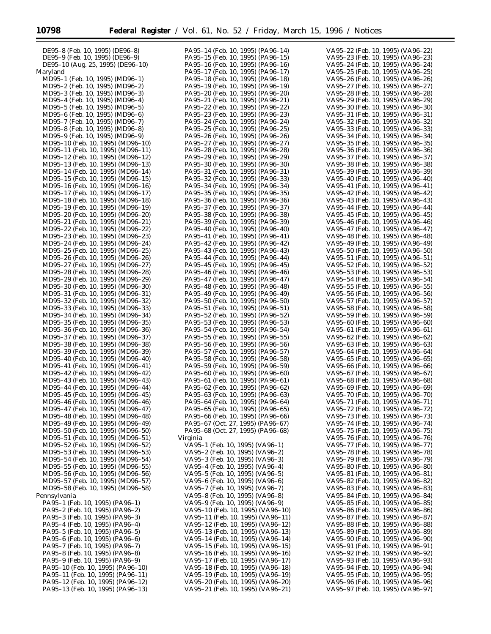| DE95-8 (Feb. 10, 1995) (DE96-8)   |
|-----------------------------------|
| DE95-9 (Feb. 10, 1995) (DE96-9)   |
| DE95-10 (Aug. 25, 1995) (DE96-10) |
| Maryland                          |
| MD95-1 (Feb. 10, 1995) (MD96-1)   |
| MD95-2 (Feb. 10, 1995) (MD96-2)   |
| MD95-3 (Feb. 10, 1995) (MD96-3)   |
| MD95-4 (Feb. 10, 1995) (MD96-4)   |
| MD95-5 (Feb. 10, 1995) (MD96-5)   |
| MD95-6 (Feb. 10, 1995) (MD96-6)   |
| MD95-7 (Feb. 10, 1995) (MD96-7)   |
| MD95-8 (Feb. 10, 1995) (MD96-8)   |
| MD95-9 (Feb. 10, 1995) (MD96-9)   |
| MD95-10 (Feb. 10, 1995) (MD96-10) |
| MD95-11 (Feb. 10, 1995) (MD96-11) |
|                                   |
| MD95-12 (Feb. 10, 1995) (MD96-12) |
| MD95-13 (Feb. 10, 1995) (MD96-13) |
| MD95-14 (Feb. 10, 1995) (MD96-14) |
| MD95-15 (Feb. 10, 1995) (MD96-15) |
| MD95-16 (Feb. 10, 1995) (MD96-16) |
| MD95-17 (Feb. 10, 1995) (MD96-17) |
| MD95-18 (Feb. 10, 1995) (MD96-18) |
| MD95-19 (Feb. 10, 1995) (MD96-19) |
| MD95-20 (Feb. 10, 1995) (MD96-20) |
| MD95-21 (Feb. 10, 1995) (MD96-21) |
| MD95-22 (Feb. 10, 1995) (MD96-22) |
| MD95-23 (Feb. 10, 1995) (MD96-23) |
| MD95-24 (Feb. 10, 1995) (MD96-24) |
|                                   |
| MD95-25 (Feb. 10, 1995) (MD96-25) |
| MD95-26 (Feb. 10, 1995) (MD96-26) |
| MD95-27 (Feb. 10, 1995) (MD96-27) |
| MD95-28 (Feb. 10, 1995) (MD96-28) |
| MD95-29 (Feb. 10, 1995) (MD96-29) |
| MD95-30 (Feb. 10, 1995) (MD96-30) |
| MD95-31 (Feb. 10, 1995) (MD96-31) |
| MD95-32 (Feb. 10, 1995) (MD96-32) |
| MD95-33 (Feb. 10, 1995) (MD96-33) |
| MD95-34 (Feb. 10, 1995) (MD96-34) |
| MD95-35 (Feb. 10, 1995) (MD96-35) |
| MD95-36 (Feb. 10, 1995) (MD96-36) |
| MD95-37 (Feb. 10, 1995) (MD96-37) |
| MD95-38 (Feb. 10, 1995) (MD96-38) |
|                                   |
| MD95-39 (Feb. 10, 1995) (MD96-39) |
| MD95-40 (Feb. 10, 1995) (MD96-40) |
| MD95-41 (Feb. 10, 1995) (MD96-41) |
| MD95-42 (Feb. 10, 1995) (MD96-42) |
| MD95-43 (Feb. 10, 1995) (MD96-43) |
| MD95-44 (Feb. 10, 1995) (MD96-44) |
| MD95-45 (Feb. 10, 1995) (MD96-45) |
| MD95-46 (Feb. 10, 1995) (MD96-46) |
| MD95-47 (Feb. 10, 1995) (MD96-47) |
| MD95-48 (Feb. 10, 1995) (MD96-48) |
| MD95-49 (Feb. 10, 1995) (MD96-49) |
| MD95-50 (Feb. 10, 1995) (MD96-50) |
| MD95-51 (Feb. 10, 1995) (MD96-51) |
| MD95-52 (Feb. 10, 1995) (MD96-52) |
| MD95-53 (Feb. 10, 1995) (MD96-53) |
| MD95-54 (Feb. 10, 1995) (MD96-54) |
| MD95-55 (Feb. 10, 1995) (MD96-55) |
| MD95-56 (Feb. 10, 1995) (MD96-56) |
|                                   |
| MD95-57 (Feb. 10, 1995) (MD96-57) |
| MD95-58 (Feb. 10, 1995) (MD96-58) |
| Pennsylvania                      |
| PA95-1 (Feb. 10, 1995) (PA96-1)   |
| PA95-2 (Feb. 10, 1995) (PA96-2)   |
| PA95-3 (Feb. 10, 1995) (PA96-3)   |
| PA95-4 (Feb. 10, 1995) (PA96-4)   |
| PA95-5 (Feb. 10, 1995) (PA96-5)   |
| PA95-6 (Feb. 10, 1995) (PA96-6)   |
| PA95-7 (Feb. 10, 1995) (PA96-7)   |
| PA95-8 (Feb. 10, 1995) (PA96-8)   |
| PA95-9 (Feb. 10, 1995) (PA96-9)   |
| PA95-10 (Feb. 10, 1995) (PA96-10) |
| PA95-11 (Feb. 10, 1995) (PA96-11) |
| PA95-12 (Feb. 10, 1995) (PA96-12) |
|                                   |

PA95–13 (Feb. 10, 1995) (PA96–13)

| PA95-14 (Feb. 10,                                                      |     |           | 1995) (PA96-14)                 |
|------------------------------------------------------------------------|-----|-----------|---------------------------------|
| PA95-15 (Feb.                                                          | 10, | 1995)     | $(PA96-15)$                     |
| PA95–16 (Feb.                                                          | 10, | 1995)     | $(PA96-16)$                     |
| PA95-17<br>(Feb.                                                       | 10, | 1995)     | $(PA96-17)$                     |
| PA95-18 (Feb.                                                          | 10, | 1995)     | $(PA96-18)$                     |
| PA95-19                                                                |     |           | $(PA96-19)$                     |
| (Feb.                                                                  | 10, | 1995)     |                                 |
| PA95–20 (Feb.                                                          | 10, | 1995)     | $(PA96-20)$                     |
| PA95-21<br>(Feb.                                                       | 10, | 1995)     | $(PA96 - 21)$                   |
| PA95-22<br>(Feb.                                                       | 10, | 1995)     | (PA96–22)                       |
|                                                                        |     |           |                                 |
| PA95-23<br>(Feb.                                                       | 10, | 1995)     | (PA96-23)                       |
| PA95–24<br>(Feb.                                                       | 10, | 1995)     | $(PA96-24)$                     |
| PA95–25<br>(Feb.                                                       | 10, | 1995)     | (PA96–25)                       |
| PA95–26<br>(Feb.                                                       | 10, | 1995)     | $(PA96-26)$                     |
|                                                                        |     |           |                                 |
| PA95-27<br>(Feb.                                                       | 10, | 1995)     | (PA96-27)                       |
| PA95–28<br>(Feb.                                                       | 10, | 1995)     | (PA96-<br>-28)                  |
| PA95-29 (Feb.                                                          | 10, | 1995)     | $(PA96-29)$                     |
| PA95–30 (Feb.                                                          | 10, | 1995)     | (PA96<br>$-30)$                 |
| PA95-31                                                                |     |           | $(PA96-31)$                     |
| (Feb.                                                                  | 10, | 1995)     |                                 |
| PA95-<br>-32<br>(Feb.                                                  | 10, | 1995)     | -33)<br>(PA96-                  |
| PA95-34 (Feb.                                                          | 10, | 1995)     | $-34)$<br>(PA96–                |
| PA95-<br>-35 (Feb.                                                     |     | 10, 1995) | (PA96-<br>$-35)$                |
|                                                                        |     |           |                                 |
| PA95-36 (Feb.                                                          | 10, | 1995)     | -36)<br>(PA96-                  |
| PA95-<br>-37<br>(Feb.                                                  | 10. | 1995)     | (PA96<br>$-37)$                 |
| PA95-38 (Feb.                                                          | 10, | 1995)     | $(PA96-38)$                     |
| PA95-39 (Feb.                                                          |     | 10, 1995) | (PA96-39)                       |
|                                                                        |     |           |                                 |
| PA95–40 (Feb.                                                          | 10, | 1995)     | $(PA96-40)$                     |
| PA95-41<br>(Feb.                                                       | 10, | 1995)     | $(PA96-41)$                     |
| PA95–42<br>(Feb.                                                       | 10, | 1995)     | $(PA96-42)$                     |
| PA95–43 (Feb.                                                          |     | 10, 1995) | $(PA96-43)$                     |
|                                                                        |     |           |                                 |
| PA95-44 (Feb.                                                          | 10, | 1995)     | $(PA96-44)$                     |
| PA95–45 (Feb.                                                          | 10, | 1995)     | $(PA96-45)$                     |
| PA95–46 (Feb.                                                          | 10, | 1995)     | $(PA96-46)$                     |
| PA95–47<br>(Feb.                                                       | 10, | 1995)     | $(PA96-47)$                     |
|                                                                        |     |           |                                 |
| PA95-48 (Feb.                                                          | 10, | 1995)     | $(PA96-48)$                     |
| PA95–49 (Feb.                                                          | 10, | 1995)     | $(PA96-49)$                     |
| PA95-50 (Feb.                                                          | 10, | 1995)     | $(PA96-50)$                     |
| PA95–51<br>(Feb.                                                       | 10, | 1995)     | $(PA96-51)$                     |
|                                                                        |     |           |                                 |
| PA95–52<br>(Feb.                                                       | 10, | 1995)     | $(PA96-52)$                     |
| PA95-<br>-53 (Feb.                                                     | 10, | 1995)     | (PA96<br>-53)                   |
| PA95–54 (Feb.                                                          | 10, | 1995)     | $(PA96-54)$                     |
| PA95-<br>-55 (Feb.                                                     | 10, | 1995)     | (PA96-<br>$-55)$                |
| PA95–56 (Feb.                                                          | 10, | 1995)     | $(PA96-56)$                     |
|                                                                        |     |           |                                 |
| PA95-<br>-57<br>(Feb.                                                  | 10, | 1995)     | (PA96<br>$-57)$                 |
| PA95-58 (Feb.                                                          | 10, | 1995)     | $(PA96-58)$                     |
| PA95-<br>-59 (Feb.                                                     | 10, | 1995)     | (PA96-<br>-59)                  |
| PA95-60 (Feb.                                                          | 10, | 1995)     | $(PA96-60)$                     |
| PA95-61                                                                |     |           | -61)                            |
| (Feb.                                                                  | 10, | 1995)     | (PA96-                          |
| PA95-62 (Feb.                                                          |     | 10, 1995) | $(PA96-62)$                     |
| PA95-63 (Feb. 10, 1995) (PA96-63)                                      |     |           |                                 |
| PA95-<br>$-64$ (Feb.                                                   | 10, | 1995)     | (PA96<br>$-64)$                 |
| PA95-65 (Feb. 10, 1995) (PA96-65)                                      |     |           |                                 |
|                                                                        |     |           |                                 |
| PA95-66 (Feb. 10, 1995) (PA96-66)                                      |     |           |                                 |
| PA95-67 (Oct. 27, 1995) (PA96-67)                                      |     |           |                                 |
| PA95-68 (Oct. 27, 1995) (PA96-68)                                      |     |           |                                 |
| Virginia                                                               |     |           |                                 |
|                                                                        |     |           |                                 |
|                                                                        |     |           |                                 |
|                                                                        |     |           | VA95-1 (Feb. 10, 1995) (VA96-1) |
| VA95-2 (Feb. 10, 1995) (VA96-2)                                        |     |           |                                 |
|                                                                        |     |           |                                 |
| VA95-3 (Feb. 10, 1995) (VA96-3)                                        |     |           |                                 |
| VA95-4 (Feb. 10, 1995) (VA96-4)                                        |     |           |                                 |
| VA95-5 (Feb. 10, 1995) (VA96-5)                                        |     |           |                                 |
| VA95-6 (Feb. 10, 1995) (VA96-6)                                        |     |           |                                 |
|                                                                        |     |           |                                 |
| VA95-7 (Feb. 10, 1995) (VA96-7)                                        |     |           |                                 |
| VA95-8 (Feb. 10, 1995) (VA96-8)                                        |     |           |                                 |
| VA95-9 (Feb. 10, 1995) (VA96-9)                                        |     |           |                                 |
| VA95–10 (Feb. 10, 1995) (VA96–10)                                      |     |           |                                 |
|                                                                        |     |           |                                 |
| VA95-11 (Feb. 10, 1995) (VA96-11)                                      |     |           |                                 |
| VA95–12 (Feb. 10, 1995) (VA96–12)                                      |     |           |                                 |
| VA95-13 (Feb. 10, 1995) (VA96-13)                                      |     |           |                                 |
| VA95–14 (Feb. 10, 1995) (VA96–14)                                      |     |           |                                 |
|                                                                        |     |           |                                 |
| VA95-15 (Feb. 10, 1995) (VA96-15)                                      |     |           |                                 |
| VA95–16 (Feb. 10, 1995) (VA96–16)                                      |     |           |                                 |
|                                                                        |     |           |                                 |
| VA95-17 (Feb. 10, 1995) (VA96-17)<br>VA95-18 (Feb. 10, 1995) (VA96-18) |     |           |                                 |
| VA95-19 (Feb. 10, 1995) (VA96-19)                                      |     |           |                                 |
| VA95-20 (Feb. 10, 1995) (VA96-20)<br>VA95–21 (Feb. 10, 1995) (VA96–21) |     |           |                                 |

| VA95–22 (Feb.     |               | 10, | 1995)<br>$(VA96-22)$      |  |
|-------------------|---------------|-----|---------------------------|--|
| VA95-23 (Feb.     |               | 10, | $(VA96-23)$<br>1995)      |  |
| VA95–24 (Feb.     |               | 10, | 1995)<br>(VA96–24)        |  |
| VA95-25 (Feb.     |               |     | $(VA96-25)$               |  |
|                   |               | 10, | 1995)                     |  |
| VA95–26 (Feb.     |               | 10, | 1995)<br>(VA96–26)        |  |
| VA95-27           | (Feb.         | 10, | $(VA96 - 27)$<br>1995)    |  |
| VA95–28           | (Feb.         | 10, | $(VA96-28)$<br>1995)      |  |
| VA95-29           | (Feb.         | 10, | $(VA96-29)$<br>1995)      |  |
| VA95–30 (Feb.     |               | 10, | 1995)<br>(VA96–30)        |  |
| VA95-31           | (Feb.         | 10, | $(VA96-31)$<br>1995)      |  |
| -32<br>VA95-      | (Feb.         | 10, | (VA96–32)<br>1995)        |  |
| VA95-33 (Feb.     |               | 10, | $(VA96-33)$<br>1995)      |  |
| VA95–34 (Feb. 10, |               |     | 1995)<br>$(VA96-34)$      |  |
|                   |               |     |                           |  |
| VA95-35 (Feb.     |               | 10, | $(VA96-35)$<br>1995)      |  |
| VA95-             | 36 (Feb.      | 10, | 1995)<br>(VA96-<br>-36)   |  |
| VA95-37           | (Feb.         | 10, | $(VA96-37)$<br>1995)      |  |
| VA95-             | -38 (Feb. 10, |     | 38)<br>1995)<br>(VA96-    |  |
| VA95-39 (Feb.     |               | 10, | $(VA96-39)$<br>1995)      |  |
| VA95-40 (Feb. 10, |               |     | 1995)<br>(VA96–40)        |  |
| VA95-41           | (Feb.         | 10, | $(VA96-41)$<br>1995)      |  |
| VA95-42           | (Feb.         | 10, | $(VA96-42)$<br>1995)      |  |
| VA95-43 (Feb.     |               | 10, | $(VA96-43)$<br>1995)      |  |
| VA95-44           | (Feb. 10,     |     | $(VA96-44)$<br>1995)      |  |
|                   |               |     |                           |  |
| VA95–45           | (Feb.         | 10, | $(VA96-45)$<br>1995)      |  |
| VA95-46           | (Feb.         | 10, | $(VA96-46)$<br>1995)      |  |
| VA95-47           | (Feb.         | 10, | $(VA96-47)$<br>1995)      |  |
| VA95-48           | (Feb.         | 10, | $(VA96-48)$<br>1995)      |  |
| VA95-49 (Feb.     |               | 10, | $(VA96-49)$<br>1995)      |  |
| VA95-50 (Feb.     |               | 10, | $(VA96 - 50)$<br>1995)    |  |
| VA95-51           | (Feb.         | 10, | 1995)<br>$(VA96-51)$      |  |
| VA95-52           | (Feb. 10,     |     | 1995)<br>(VA96–52)        |  |
| VA95–53 (Feb.     |               | 10, | 1995)<br>(VA96–53)        |  |
|                   |               |     |                           |  |
| VA95–54 (Feb.     |               | 10, | 1995)<br>(VA96–54)        |  |
| VA95-55 (Feb.     |               | 10, | 1995)<br>(VA96–55)        |  |
| VA95–56           | (Feb.         | 10, | 1995)<br>(VA96-<br>56)    |  |
| VA95–57           | (Feb.         | 10, | 1995)<br>(VA96–57)        |  |
| VA95–58           | (Feb.         | 10, | 1995)<br>(VA96–<br>-58)   |  |
| VA95-59 (Feb.     |               | 10, | 1995)<br>(VA96–59)        |  |
| VA95–60 (Feb.     |               | 10, | 1995)<br>(VA96–60)        |  |
| VA95–61           | (Feb.         | 10, | 1995)<br>(VA96–61)        |  |
| VA95-62           |               |     |                           |  |
|                   | (Feb.         | 10, | 1995)<br>(VA96–62)        |  |
| VA95–63 (Feb.     |               | 10, | $(VA96-63)$<br>1995)      |  |
| VA95-64 (Feb.     |               | 10, | 1995)<br>(VA96–64)        |  |
| VA95–65 (Feb.     |               | 10, | 1995)<br>(VA96–65)        |  |
| VA95-66 (Feb.     |               | 10, | 1995)<br>(VA96–66)        |  |
| VA95-67           | (Feb.         | 10, | $(VA96-67)$<br>1995)      |  |
| VA95-68           | (Feb. 10,     |     | 1995)<br>(VA96–68)        |  |
| VA95-69           | (Feb.         | 10, | $(VA96-69)$<br>1995)      |  |
| VA95-<br>-70      | (Feb. 10,     |     | $(VA96-70)$<br>1995)      |  |
| $-71$             |               | 10, | $-71)$<br>1995)<br>(VA96- |  |
| VA95-             | (Feb.         |     |                           |  |
| VA95-72 (Feb.     |               | 10, | 1995)<br>(VA96–72)        |  |
| VA95-73 (Feb.     |               | 10, | (VA96–73)<br>1995)        |  |
| VA95–74 (Feb.     |               | 10, | 1995)<br>(VA96-<br>-74)   |  |
| VA95-75           | (Feb.         | 10, | $(VA96-75)$<br>1995)      |  |
| VA95-<br>-76      | (Feb.         | 10, | 1995)<br>(VA96-<br>-76)   |  |
| VA95-77           | (Feb.         | 10, | 1995)<br>(VA96–77)        |  |
| VA95–78           | (Feb.         | 10, | 1995)<br>(VA96-<br>-78)   |  |
| VA95-79           | (Feb.         | 10, | $(VA96-79)$<br>1995)      |  |
| VA95–80 (Feb.     |               | 10, | 1995)<br>(VA96–80)        |  |
| VA95-81           |               | 10, | 1995)                     |  |
|                   | (Feb.         |     | (VA96–81)                 |  |
| VA95–82           | (Feb.         | 10, | 1995)<br>(VA96–82)        |  |
| VA95-83 (Feb.     |               | 10, | (VA96–83)<br>1995)        |  |
| VA95-84 (Feb.     |               | 10, | 1995)<br>(VA96–84)        |  |
| VA95–85           | (Feb.         | 10, | 1995)<br>(VA96–85)        |  |
| VA95–86           | (Feb.         | 10, | (VA96-86)<br>1995)        |  |
| VA95–87           | (Feb.         | 10, | 1995)<br>(VA96–87)        |  |
| VA95–88           | (Feb.         | 10, | 1995)<br>(VA96–88)        |  |
| VA95–89 (Feb.     |               | 10, | (VA96–89)<br>1995)        |  |
|                   |               |     |                           |  |
| VA95-90 (Feb.     |               | 10, | (VA96-90)<br>1995)        |  |
| VA95–91           | (Feb.         | 10, | 1995)<br>(VA96–91)        |  |
| VA95–92           | (Feb.         | 10, | 1995)<br>(VA96–92)        |  |
| VA95–93 (Feb.     |               | 10, | 1995)<br>(VA96–93)        |  |
| VA95-94 (Feb.     |               | 10, | 1995)<br>(VA96–94)        |  |
| VA95–95           | (Feb.         | 10, | 1995)<br>(VA96–95)        |  |
| VA95-96 (Feb. 10, |               |     | 1995)<br>(VA96–96)        |  |
|                   |               |     | 1995)<br>$(VA96-97)$      |  |
| VA95-97 (Feb. 10, |               |     |                           |  |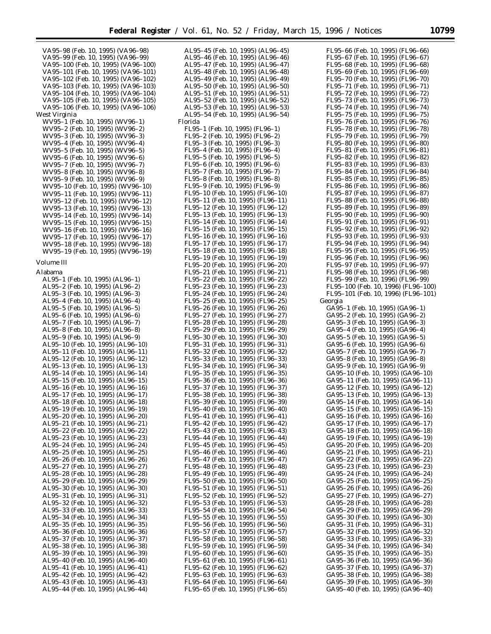VA95–98 (Feb. 10, 1995) (VA96–98) VA95–99 (Feb. 10, 1995) (VA96–99) VA95–100 (Feb. 10, 1995) (VA96–100) VA95–101 (Feb. 10, 1995) (VA96–101) VA95–102 (Feb. 10, 1995) (VA96–102) VA95–103 (Feb. 10, 1995) (VA96–103) VA95–104 (Feb. 10, 1995) (VA96–104) VA95–105 (Feb. 10, 1995) (VA96–105) VA95–106 (Feb. 10, 1995) (VA96–106) West Virginia WV95–1 (Feb. 10, 1995) (WV96–1) WV95–2 (Feb. 10, 1995) (WV96–2) WV95–3 (Feb. 10, 1995) (WV96–3) WV95–4 (Feb. 10, 1995) (WV96–4) WV95–5 (Feb. 10, 1995) (WV96–5) WV95–6 (Feb. 10, 1995) (WV96–6) WV95–7 (Feb. 10, 1995) (WV96–7) WV95–8 (Feb. 10, 1995) (WV96–8) WV95–9 (Feb. 10, 1995) (WV96–9) WV95–10 (Feb. 10, 1995) (WV96–10) WV95–11 (Feb. 10, 1995) (WV96–11) WV95–12 (Feb. 10, 1995) (WV96–12) WV95–13 (Feb. 10, 1995) (WV96–13) WV95–14 (Feb. 10, 1995) (WV96–14) WV95–15 (Feb. 10, 1995) (WV96–15) WV95–16 (Feb. 10, 1995) (WV96–16) WV95–17 (Feb. 10, 1995) (WV96–17) WV95–18 (Feb. 10, 1995) (WV96–18) WV95–19 (Feb. 10, 1995) (WV96–19) *Volume III* Alabama AL95–1 (Feb. 10, 1995) (AL96–1) AL95–2 (Feb. 10, 1995) (AL96–2) AL95–3 (Feb. 10, 1995) (AL96–3) AL95–4 (Feb. 10, 1995) (AL96–4) AL95–5 (Feb. 10, 1995) (AL96–5) AL95–6 (Feb. 10, 1995) (AL96–6) AL95–7 (Feb. 10, 1995) (AL96–7) AL95–8 (Feb. 10, 1995) (AL96–8) AL95–9 (Feb. 10, 1995) (AL96–9) AL95–10 (Feb. 10, 1995) (AL96–10) AL95–11 (Feb. 10, 1995) (AL96–11) AL95–12 (Feb. 10, 1995) (AL96–12) AL95–13 (Feb. 10, 1995) (AL96–13) AL95–14 (Feb. 10, 1995) (AL96–14) AL95–15 (Feb. 10, 1995) (AL96–15) AL95–16 (Feb. 10, 1995) (AL96–16) AL95–17 (Feb. 10, 1995) (AL96–17) AL95–18 (Feb. 10, 1995) (AL96–18) AL95–19 (Feb. 10, 1995) (AL96–19) AL95–20 (Feb. 10, 1995) (AL96–20) AL95–21 (Feb. 10, 1995) (AL96–21) AL95–22 (Feb. 10, 1995) (AL96–22) AL95–23 (Feb. 10, 1995) (AL96–23) AL95–24 (Feb. 10, 1995) (AL96–24) AL95–25 (Feb. 10, 1995) (AL96–25) AL95–26 (Feb. 10, 1995) (AL96–26) AL95–27 (Feb. 10, 1995) (AL96–27) AL95–28 (Feb. 10, 1995) (AL96–28) AL95–29 (Feb. 10, 1995) (AL96–29) AL95–30 (Feb. 10, 1995) (AL96–30) AL95–31 (Feb. 10, 1995) (AL96–31) AL95–32 (Feb. 10, 1995) (AL96–32) AL95–33 (Feb. 10, 1995) (AL96–33) AL95–34 (Feb. 10, 1995) (AL96–34) AL95–35 (Feb. 10, 1995) (AL96–35) AL95–36 (Feb. 10, 1995) (AL96–36) AL95–37 (Feb. 10, 1995) (AL96–37) AL95–38 (Feb. 10, 1995) (AL96–38) AL95–39 (Feb. 10, 1995) (AL96–39) AL95–40 (Feb. 10, 1995) (AL96–40) AL95–41 (Feb. 10, 1995) (AL96–41) AL95–42 (Feb. 10, 1995) (AL96–42) AL95–43 (Feb. 10, 1995) (AL96–43) AL95–44 (Feb. 10, 1995) (AL96–44)

AL95–45 (Feb. 10, 1995) (AL96–45) AL95–46 (Feb. 10, 1995) (AL96–46) AL95–47 (Feb. 10, 1995) (AL96–47) AL95–48 (Feb. 10, 1995) (AL96–48) AL95–49 (Feb. 10, 1995) (AL96–49) AL95–50 (Feb. 10, 1995) (AL96–50) AL95–51 (Feb. 10, 1995) (AL96–51) AL95–52 (Feb. 10, 1995) (AL96–52) AL95–53 (Feb. 10, 1995) (AL96–53) AL95–54 (Feb. 10, 1995) (AL96–54) Florida FL95–1 (Feb. 10, 1995) (FL96–1) FL95–2 (Feb. 10, 1995) (FL96–2) FL95–3 (Feb. 10, 1995) (FL96–3) FL95–4 (Feb. 10, 1995) (FL96–4) FL95–5 (Feb. 10, 1995) (FL96–5) FL95–6 (Feb. 10, 1995) (FL96–6) FL95–7 (Feb. 10, 1995) (FL96–7) FL95–8 (Feb. 10, 1995) (FL96–8) FL95–9 (Feb. 10, 1995) (FL96–9) FL95–10 (Feb. 10, 1995) (FL96–10) FL95–11 (Feb. 10, 1995) (FL96–11) FL95–12 (Feb. 10, 1995) (FL96–12) FL95–13 (Feb. 10, 1995) (FL96–13) FL95–14 (Feb. 10, 1995) (FL96–14) FL95–15 (Feb. 10, 1995) (FL96–15) FL95–16 (Feb. 10, 1995) (FL96–16) FL95–17 (Feb. 10, 1995) (FL96–17) FL95–18 (Feb. 10, 1995) (FL96–18) FL95–19 (Feb. 10, 1995) (FL96–19) FL95–20 (Feb. 10, 1995) (FL96–20) FL95–21 (Feb. 10, 1995) (FL96–21) FL95–22 (Feb. 10, 1995) (FL96–22) FL95–23 (Feb. 10, 1995) (FL96–23) FL95–24 (Feb. 10, 1995) (FL96–24) FL95–25 (Feb. 10, 1995) (FL96–25) FL95–26 (Feb. 10, 1995) (FL96–26) FL95–27 (Feb. 10, 1995) (FL96–27) FL95–28 (Feb. 10, 1995) (FL96–28) FL95–29 (Feb. 10, 1995) (FL96–29) FL95–30 (Feb. 10, 1995) (FL96–30) FL95–31 (Feb. 10, 1995) (FL96–31) FL95–32 (Feb. 10, 1995) (FL96–32) FL95–33 (Feb. 10, 1995) (FL96–33) FL95–34 (Feb. 10, 1995) (FL96–34) FL95–35 (Feb. 10, 1995) (FL96–35) FL95–36 (Feb. 10, 1995) (FL96–36) FL95–37 (Feb. 10, 1995) (FL96–37) FL95–38 (Feb. 10, 1995) (FL96–38) FL95–39 (Feb. 10, 1995) (FL96–39) FL95–40 (Feb. 10, 1995) (FL96–40) FL95–41 (Feb. 10, 1995) (FL96–41) FL95–42 (Feb. 10, 1995) (FL96–42) FL95–43 (Feb. 10, 1995) (FL96–43) FL95–44 (Feb. 10, 1995) (FL96–44) FL95–45 (Feb. 10, 1995) (FL96–45) FL95–46 (Feb. 10, 1995) (FL96–46) FL95–47 (Feb. 10, 1995) (FL96–47) FL95–48 (Feb. 10, 1995) (FL96–48) FL95–49 (Feb. 10, 1995) (FL96–49) FL95–50 (Feb. 10, 1995) (FL96–50) FL95–51 (Feb. 10, 1995) (FL96–51) FL95–52 (Feb. 10, 1995) (FL96–52) FL95–53 (Feb. 10, 1995) (FL96–53) FL95–54 (Feb. 10, 1995) (FL96–54) FL95–55 (Feb. 10, 1995) (FL96–55) FL95–56 (Feb. 10, 1995) (FL96–56) FL95–57 (Feb. 10, 1995) (FL96–57) FL95–58 (Feb. 10, 1995) (FL96–58) FL95–59 (Feb. 10, 1995) (FL96–59) FL95–60 (Feb. 10, 1995) (FL96–60) FL95–61 (Feb. 10, 1995) (FL96–61) FL95–62 (Feb. 10, 1995) (FL96–62) FL95–63 (Feb. 10, 1995) (FL96–63) FL95–64 (Feb. 10, 1995) (FL96–64) FL95–65 (Feb. 10, 1995) (FL96–65)

FL95–66 (Feb. 10, 1995) (FL96–66) FL95–67 (Feb. 10, 1995) (FL96–67) FL95–68 (Feb. 10, 1995) (FL96–68) FL95–69 (Feb. 10, 1995) (FL96–69) FL95–70 (Feb. 10, 1995) (FL96–70) FL95–71 (Feb. 10, 1995) (FL96–71) FL95–72 (Feb. 10, 1995) (FL96–72) FL95–73 (Feb. 10, 1995) (FL96–73) FL95–74 (Feb. 10, 1995) (FL96–74) FL95–75 (Feb. 10, 1995) (FL96–75) FL95–76 (Feb. 10, 1995) (FL96–76) FL95–78 (Feb. 10, 1995) (FL96–78) FL95–79 (Feb. 10, 1995) (FL96–79) FL95–80 (Feb. 10, 1995) (FL96–80) FL95–81 (Feb. 10, 1995) (FL96–81) FL95–82 (Feb. 10, 1995) (FL96–82) FL95–83 (Feb. 10, 1995) (FL96–83) FL95–84 (Feb. 10, 1995) (FL96–84) FL95–85 (Feb. 10, 1995) (FL96–85) FL95–86 (Feb. 10, 1995) (FL96–86) FL95–87 (Feb. 10, 1995) (FL96–87) FL95–88 (Feb. 10, 1995) (FL96–88) FL95–89 (Feb. 10, 1995) (FL96–89) FL95–90 (Feb. 10, 1995) (FL96–90) FL95–91 (Feb. 10, 1995) (FL96–91) FL95–92 (Feb. 10, 1995) (FL96–92) FL95–93 (Feb. 10, 1995) (FL96–93) FL95–94 (Feb. 10, 1995) (FL96–94) FL95–95 (Feb. 10, 1995) (FL96–95) FL95–96 (Feb. 10, 1995) (FL96–96) FL95–97 (Feb. 10, 1995) (FL96–97) FL95–98 (Feb. 10, 1995) (FL96–98) FL95–99 (Feb. 10, 1996) (FL96–99) FL95–100 (Feb. 10, 1996) (FL96–100) FL95–101 (Feb. 10, 1996) (FL96–101) Georgia GA95–1 (Feb. 10, 1995) (GA96–1) GA95–2 (Feb. 10, 1995) (GA96–2) GA95–3 (Feb. 10, 1995) (GA96–3) GA95–4 (Feb. 10, 1995) (GA96–4) GA95–5 (Feb. 10, 1995) (GA96–5) GA95–6 (Feb. 10, 1995) (GA96–6) GA95–7 (Feb. 10, 1995) (GA96–7) GA95–8 (Feb. 10, 1995) (GA96–8) GA95–9 (Feb. 10, 1995) (GA96–9) GA95–10 (Feb. 10, 1995) (GA96–10) GA95–11 (Feb. 10, 1995) (GA96–11) GA95–12 (Feb. 10, 1995) (GA96–12) GA95–13 (Feb. 10, 1995) (GA96–13) GA95–14 (Feb. 10, 1995) (GA96–14) GA95–15 (Feb. 10, 1995) (GA96–15) GA95–16 (Feb. 10, 1995) (GA96–16) GA95–17 (Feb. 10, 1995) (GA96–17) GA95–18 (Feb. 10, 1995) (GA96–18) GA95–19 (Feb. 10, 1995) (GA96–19) GA95–20 (Feb. 10, 1995) (GA96–20) GA95–21 (Feb. 10, 1995) (GA96–21) GA95–22 (Feb. 10, 1995) (GA96–22) GA95–23 (Feb. 10, 1995) (GA96–23) GA95–24 (Feb. 10, 1995) (GA96–24) GA95–25 (Feb. 10, 1995) (GA96–25) GA95–26 (Feb. 10, 1995) (GA96–26) GA95–27 (Feb. 10, 1995) (GA96–27) GA95–28 (Feb. 10, 1995) (GA96–28) GA95–29 (Feb. 10, 1995) (GA96–29) GA95–30 (Feb. 10, 1995) (GA96–30) GA95–31 (Feb. 10, 1995) (GA96–31) GA95–32 (Feb. 10, 1995) (GA96–32) GA95–33 (Feb. 10, 1995) (GA96–33) GA95–34 (Feb. 10, 1995) (GA96–34) GA95–35 (Feb. 10, 1995) (GA96–35) GA95–36 (Feb. 10, 1995) (GA96–36) GA95–37 (Feb. 10, 1995) (GA96–37) GA95–38 (Feb. 10, 1995) (GA96–38) GA95–39 (Feb. 10, 1995) (GA96–39) GA95–40 (Feb. 10, 1995) (GA96–40)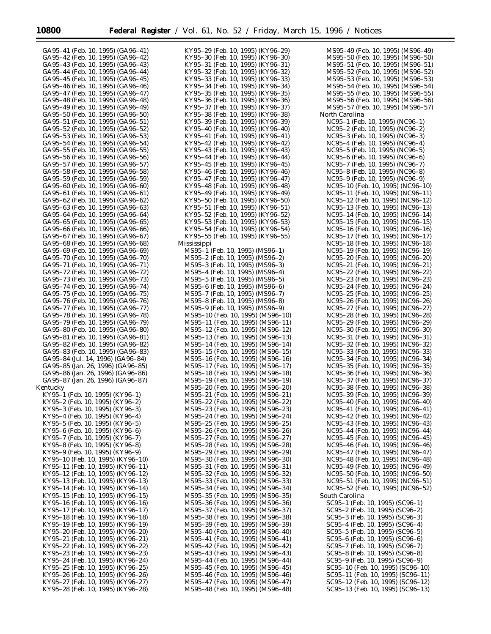| GA95-41 (Feb. 10, 1995) (GA96-41) | KY95-29 (Feb. 10, 1995) (KY96-29) | MS95-49 (Feb. 10, 1995) (MS96-49) |
|-----------------------------------|-----------------------------------|-----------------------------------|
| GA95-42 (Feb. 10, 1995) (GA96-42) | KY95-30 (Feb. 10, 1995) (KY96-30) | MS95-50 (Feb. 10, 1995) (MS96-50) |
| GA95-43 (Feb. 10, 1995) (GA96-43) | KY95-31 (Feb. 10, 1995) (KY96-31) | MS95-51 (Feb. 10, 1995) (MS96-51) |
|                                   |                                   |                                   |
| GA95–44 (Feb. 10, 1995) (GA96–44) | KY95–32 (Feb. 10, 1995) (KY96–32) | MS95-52 (Feb. 10, 1995) (MS96-52) |
| GA95-45 (Feb. 10, 1995) (GA96-45) | KY95–33 (Feb. 10, 1995) (KY96–33) | MS95-53 (Feb. 10, 1995) (MS96-53) |
| GA95-46 (Feb. 10, 1995) (GA96-46) | KY95-34 (Feb. 10, 1995) (KY96-34) | MS95-54 (Feb. 10, 1995) (MS96-54) |
| GA95-47 (Feb. 10, 1995) (GA96-47) | KY95–35 (Feb. 10, 1995) (KY96–35) | MS95–55 (Feb. 10, 1995) (MS96–55) |
| GA95-48 (Feb. 10, 1995) (GA96-48) | KY95–36 (Feb. 10, 1995) (KY96–36) | MS95-56 (Feb. 10, 1995) (MS96-56) |
|                                   |                                   |                                   |
| GA95-49 (Feb. 10, 1995) (GA96-49) | KY95–37 (Feb. 10, 1995) (KY96–37) | MS95-57 (Feb. 10, 1995) (MS96-57) |
| GA95-50 (Feb. 10, 1995) (GA96-50) | KY95–38 (Feb. 10, 1995) (KY96–38) | North Carolina                    |
| GA95-51 (Feb. 10, 1995) (GA96-51) | KY95–39 (Feb. 10, 1995) (KY96–39) | NC95–1 (Feb. 10, 1995) (NC96–1)   |
| GA95-52 (Feb. 10, 1995) (GA96-52) | KY95–40 (Feb. 10, 1995) (KY96–40) | NC95-2 (Feb. 10, 1995) (NC96-2)   |
| GA95-53 (Feb. 10, 1995) (GA96-53) | KY95–41 (Feb. 10, 1995) (KY96–41) | NC95-3 (Feb. 10, 1995) (NC96-3)   |
|                                   |                                   | NC95-4 (Feb. 10, 1995) (NC96-4)   |
| GA95-54 (Feb. 10, 1995) (GA96-54) | KY95–42 (Feb. 10, 1995) (KY96–42) |                                   |
| GA95–55 (Feb. 10, 1995) (GA96–55) | KY95-43 (Feb. 10, 1995) (KY96-43) | NC95–5 (Feb. 10, 1995) (NC96–5)   |
| GA95-56 (Feb. 10, 1995) (GA96-56) | KY95–44 (Feb. 10, 1995) (KY96–44) | NC95–6 (Feb. 10, 1995) (NC96–6)   |
| GA95-57 (Feb. 10, 1995) (GA96-57) | KY95–45 (Feb. 10, 1995) (KY96–45) | NC95–7 (Feb. 10, 1995) (NC96–7)   |
| GA95-58 (Feb. 10, 1995) (GA96-58) | KY95–46 (Feb. 10, 1995) (KY96–46) | NC95–8 (Feb. 10, 1995) (NC96–8)   |
| GA95–59 (Feb. 10, 1995) (GA96–59) | KY95–47 (Feb. 10, 1995) (KY96–47) | NC95–9 (Feb. 10, 1995) (NC96–9)   |
| GA95-60 (Feb. 10, 1995) (GA96-60) | KY95–48 (Feb. 10, 1995) (KY96–48) | NC95-10 (Feb. 10, 1995) (NC96-10) |
|                                   |                                   |                                   |
| GA95-61 (Feb. 10, 1995) (GA96-61) | KY95–49 (Feb. 10, 1995) (KY96–49) | NC95-11 (Feb. 10, 1995) (NC96-11) |
| GA95-62 (Feb. 10, 1995) (GA96-62) | KY95–50 (Feb. 10, 1995) (KY96–50) | NC95-12 (Feb. 10, 1995) (NC96-12) |
| GA95–63 (Feb. 10, 1995) (GA96–63) | KY95–51 (Feb. 10, 1995) (KY96–51) | NC95-13 (Feb. 10, 1995) (NC96-13) |
| GA95-64 (Feb. 10, 1995) (GA96-64) | KY95–52 (Feb. 10, 1995) (KY96–52) | NC95-14 (Feb. 10, 1995) (NC96-14) |
| GA95–65 (Feb. 10, 1995) (GA96–65) | KY95–53 (Feb. 10, 1995) (KY96–53) | NC95-15 (Feb. 10, 1995) (NC96-15) |
| GA95-66 (Feb. 10, 1995) (GA96-66) | KY95–54 (Feb. 10, 1995) (KY96–54) | NC95-16 (Feb. 10, 1995) (NC96-16) |
|                                   |                                   |                                   |
| GA95–67 (Feb. 10, 1995) (GA96–67) | KY95–55 (Feb. 10, 1995) (KY96–55) | NC95-17 (Feb. 10, 1995) (NC96-17) |
| GA95-68 (Feb. 10, 1995) (GA96-68) | Mississippi                       | NC95-18 (Feb. 10, 1995) (NC96-18) |
| GA95-69 (Feb. 10, 1995) (GA96-69) | MS95-1 (Feb. 10, 1995) (MS96-1)   | NC95-19 (Feb. 10, 1995) (NC96-19) |
| GA95-70 (Feb. 10, 1995) (GA96-70) | MS95-2 (Feb. 10, 1995) (MS96-2)   | NC95-20 (Feb. 10, 1995) (NC96-20) |
| GA95-71 (Feb. 10, 1995) (GA96-71) | MS95-3 (Feb. 10, 1995) (MS96-3)   | NC95-21 (Feb. 10, 1995) (NC96-21) |
| GA95-72 (Feb. 10, 1995) (GA96-72) | MS95-4 (Feb. 10, 1995) (MS96-4)   |                                   |
|                                   |                                   | NC95-22 (Feb. 10, 1995) (NC96-22) |
| GA95–73 (Feb. 10, 1995) (GA96–73) | MS95–5 (Feb. 10, 1995) (MS96–5)   | NC95-23 (Feb. 10, 1995) (NC96-23) |
| GA95-74 (Feb. 10, 1995) (GA96-74) | MS95–6 (Feb. 10, 1995) (MS96–6)   | NC95-24 (Feb. 10, 1995) (NC96-24) |
| GA95-75 (Feb. 10, 1995) (GA96-75) | MS95–7 (Feb. 10, 1995) (MS96–7)   | NC95-25 (Feb. 10, 1995) (NC96-25) |
| GA95-76 (Feb. 10, 1995) (GA96-76) | MS95–8 (Feb. 10, 1995) (MS96–8)   | NC95-26 (Feb. 10, 1995) (NC96-26) |
| GA95-77 (Feb. 10, 1995) (GA96-77) | MS95-9 (Feb. 10, 1995) (MS96-9)   | NC95-27 (Feb. 10, 1995) (NC96-27) |
| GA95-78 (Feb. 10, 1995) (GA96-78) | MS95-10 (Feb. 10, 1995) (MS96-10) | NC95-28 (Feb. 10, 1995) (NC96-28) |
|                                   |                                   |                                   |
| GA95-79 (Feb. 10, 1995) (GA96-79) | MS95-11 (Feb. 10, 1995) (MS96-11) | NC95-29 (Feb. 10, 1995) (NC96-29) |
| GA95-80 (Feb. 10, 1995) (GA96-80) | MS95-12 (Feb. 10, 1995) (MS96-12) | NC95-30 (Feb. 10, 1995) (NC96-30) |
| GA95-81 (Feb. 10, 1995) (GA96-81) | MS95-13 (Feb. 10, 1995) (MS96-13) | NC95-31 (Feb. 10, 1995) (NC96-31) |
| GA95-82 (Feb. 10, 1995) (GA96-82) | MS95-14 (Feb. 10, 1995) (MS96-14) | NC95-32 (Feb. 10, 1995) (NC96-32) |
| GA95-83 (Feb. 10, 1995) (GA96-83) | MS95-15 (Feb. 10, 1995) (MS96-15) | NC95-33 (Feb. 10, 1995) (NC96-33) |
| GA95-84 (Jul. 14, 1996) (GA96-84) | MS95-16 (Feb. 10, 1995) (MS96-16) | NC95-34 (Feb. 10, 1995) (NC96-34) |
| GA95-85 (Jan. 26, 1996) (GA96-85) |                                   | NC95-35 (Feb. 10, 1995) (NC96-35) |
|                                   | MS95-17 (Feb. 10, 1995) (MS96-17) |                                   |
| GA95-86 (Jan. 26, 1996) (GA96-86) | MS95-18 (Feb. 10, 1995) (MS96-18) | NC95-36 (Feb. 10, 1995) (NC96-36) |
| GA95-87 (Jan. 26, 1996) (GA96-87) | MS95-19 (Feb. 10, 1995) (MS96-19) | NC95-37 (Feb. 10, 1995) (NC96-37) |
| Kentucky                          | MS95-20 (Feb. 10, 1995) (MS96-20) | NC95-38 (Feb. 10, 1995) (NC96-38) |
| KY95-1 (Feb. 10, 1995) (KY96-1)   | MS95-21 (Feb. 10, 1995) (MS96-21) | NC95-39 (Feb. 10, 1995) (NC96-39) |
| KY95-2 (Feb. 10, 1995) (KY96-2)   | MS95-22 (Feb. 10, 1995) (MS96-22) | NC95-40 (Feb. 10, 1995) (NC96-40) |
| KY95-3 (Feb. 10, 1995) (KY96-3)   | MS95-23 (Feb. 10, 1995) (MS96-23) | NC95-41 (Feb. 10, 1995) (NC96-41) |
|                                   |                                   |                                   |
| KY95-4 (Feb. 10, 1995) (KY96-4)   | MS95-24 (Feb. 10, 1995) (MS96-24) | NC95-42 (Feb. 10, 1995) (NC96-42) |
| KY95–5 (Feb. 10, 1995) (KY96–5)   | MS95-25 (Feb. 10, 1995) (MS96-25) | NC95-43 (Feb. 10, 1995) (NC96-43) |
| KY95–6 (Feb. 10, 1995) (KY96–6)   | MS95-26 (Feb. 10, 1995) (MS96-26) | NC95-44 (Feb. 10, 1995) (NC96-44) |
| KY95-7 (Feb. 10, 1995) (KY96-7)   | MS95-27 (Feb. 10, 1995) (MS96-27) | NC95-45 (Feb. 10, 1995) (NC96-45) |
| KY95-8 (Feb. 10, 1995) (KY96-8)   | MS95-28 (Feb. 10, 1995) (MS96-28) | NC95-46 (Feb. 10, 1995) (NC96-46) |
| KY95-9 (Feb. 10, 1995) (KY96-9)   | MS95-29 (Feb. 10, 1995) (MS96-29) | NC95-47 (Feb. 10, 1995) (NC96-47) |
| KY95-10 (Feb. 10, 1995) (KY96-10) | MS95-30 (Feb. 10, 1995) (MS96-30) |                                   |
|                                   |                                   | NC95-48 (Feb. 10, 1995) (NC96-48) |
| KY95–11 (Feb. 10, 1995) (KY96–11) | MS95-31 (Feb. 10, 1995) (MS96-31) | NC95-49 (Feb. 10, 1995) (NC96-49) |
| KY95-12 (Feb. 10, 1995) (KY96-12) | MS95-32 (Feb. 10, 1995) (MS96-32) | NC95-50 (Feb. 10, 1995) (NC96-50) |
| KY95-13 (Feb. 10, 1995) (KY96-13) | MS95-33 (Feb. 10, 1995) (MS96-33) | NC95-51 (Feb. 10, 1995) (NC96-51) |
| KY95-14 (Feb. 10, 1995) (KY96-14) | MS95-34 (Feb. 10, 1995) (MS96-34) | NC95-52 (Feb. 10, 1995) (NC96-52) |
| KY95–15 (Feb. 10, 1995) (KY96–15) | MS95-35 (Feb. 10, 1995) (MS96-35) | South Carolina                    |
| KY95-16 (Feb. 10, 1995) (KY96-16) | MS95-36 (Feb. 10, 1995) (MS96-36) | SC95-1 (Feb. 10, 1995) (SC96-1)   |
|                                   |                                   |                                   |
| KY95-17 (Feb. 10, 1995) (KY96-17) | MS95-37 (Feb. 10, 1995) (MS96-37) | SC95-2 (Feb. 10, 1995) (SC96-2)   |
| KY95-18 (Feb. 10, 1995) (KY96-18) | MS95-38 (Feb. 10, 1995) (MS96-38) | SC95-3 (Feb. 10, 1995) (SC96-3)   |
| KY95-19 (Feb. 10, 1995) (KY96-19) | MS95-39 (Feb. 10, 1995) (MS96-39) | SC95-4 (Feb. 10, 1995) (SC96-4)   |
| KY95-20 (Feb. 10, 1995) (KY96-20) | MS95-40 (Feb. 10, 1995) (MS96-40) | SC95-5 (Feb. 10, 1995) (SC96-5)   |
| KY95-21 (Feb. 10, 1995) (KY96-21) | MS95-41 (Feb. 10, 1995) (MS96-41) | SC95-6 (Feb. 10, 1995) (SC96-6)   |
| KY95-22 (Feb. 10, 1995) (KY96-22) | MS95-42 (Feb. 10, 1995) (MS96-42) | SC95-7 (Feb. 10, 1995) (SC96-7)   |
|                                   |                                   |                                   |
| KY95-23 (Feb. 10, 1995) (KY96-23) | MS95-43 (Feb. 10, 1995) (MS96-43) | SC95-8 (Feb. 10, 1995) (SC96-8)   |
| KY95–24 (Feb. 10, 1995) (KY96–24) | MS95-44 (Feb. 10, 1995) (MS96-44) | SC95-9 (Feb. 10, 1995) (SC96-9)   |
| KY95–25 (Feb. 10, 1995) (KY96–25) | MS95-45 (Feb. 10, 1995) (MS96-45) | SC95-10 (Feb. 10, 1995) (SC96-10) |
| KY95-26 (Feb. 10, 1995) (KY96-26) | MS95-46 (Feb. 10, 1995) (MS96-46) | SC95-11 (Feb. 10, 1995) (SC96-11) |
| KY95-27 (Feb. 10, 1995) (KY96-27) | MS95-47 (Feb. 10, 1995) (MS96-47) | SC95-12 (Feb. 10, 1995) (SC96-12) |
| KY95–28 (Feb. 10, 1995) (KY96–28) | MS95-48 (Feb. 10, 1995) (MS96-48) | SC95-13 (Feb. 10, 1995) (SC96-13) |
|                                   |                                   |                                   |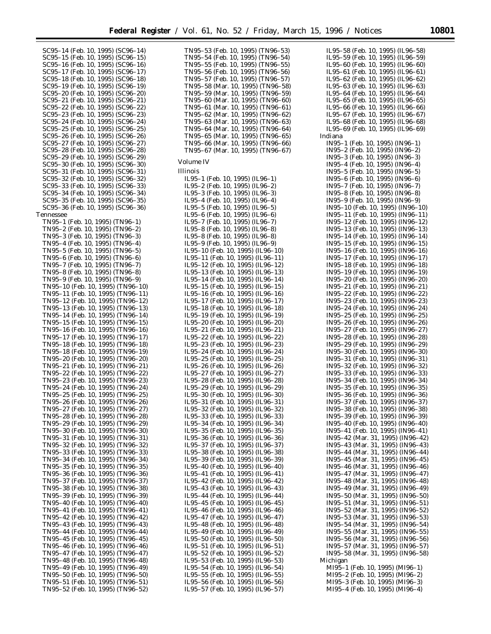SC95–14 (Feb. 10, 1995) (SC96–14) SC95–15 (Feb. 10, 1995) (SC96–15) SC95–16 (Feb. 10, 1995) (SC96–16) SC95–17 (Feb. 10, 1995) (SC96–17) SC95–18 (Feb. 10, 1995) (SC96–18) SC95–19 (Feb. 10, 1995) (SC96–19) SC95–20 (Feb. 10, 1995) (SC96–20) SC95–21 (Feb. 10, 1995) (SC96–21) SC95–22 (Feb. 10, 1995) (SC96–22) SC95–23 (Feb. 10, 1995) (SC96–23) SC95–24 (Feb. 10, 1995) (SC96–24) SC95–25 (Feb. 10, 1995) (SC96–25) SC95–26 (Feb. 10, 1995) (SC96–26) SC95–27 (Feb. 10, 1995) (SC96–27) SC95–28 (Feb. 10, 1995) (SC96–28) SC95–29 (Feb. 10, 1995) (SC96–29) SC95–30 (Feb. 10, 1995) (SC96–30) SC95–31 (Feb. 10, 1995) (SC96–31) SC95–32 (Feb. 10, 1995) (SC96–32) SC95–33 (Feb. 10, 1995) (SC96–33) SC95–34 (Feb. 10, 1995) (SC96–34) SC95–35 (Feb. 10, 1995) (SC96–35) SC95–36 (Feb. 10, 1995) (SC96–36) Tennessee TN95–1 (Feb. 10, 1995) (TN96–1) TN95–2 (Feb. 10, 1995) (TN96–2) TN95–3 (Feb. 10, 1995) (TN96–3) TN95–4 (Feb. 10, 1995) (TN96–4) TN95–5 (Feb. 10, 1995) (TN96–5) TN95–6 (Feb. 10, 1995) (TN96–6) TN95–7 (Feb. 10, 1995) (TN96–7) TN95–8 (Feb. 10, 1995) (TN96–8) TN95–9 (Feb. 10, 1995) (TN96–9) TN95–10 (Feb. 10, 1995) (TN96–10) TN95–11 (Feb. 10, 1995) (TN96–11) TN95–12 (Feb. 10, 1995) (TN96–12) TN95–13 (Feb. 10, 1995) (TN96–13) TN95–14 (Feb. 10, 1995) (TN96–14) TN95–15 (Feb. 10, 1995) (TN96–15) TN95–16 (Feb. 10, 1995) (TN96–16) TN95–17 (Feb. 10, 1995) (TN96–17) TN95–18 (Feb. 10, 1995) (TN96–18) TN95–18 (Feb. 10, 1995) (TN96–19) TN95–20 (Feb. 10, 1995) (TN96–20) TN95–21 (Feb. 10, 1995) (TN96–21) TN95–22 (Feb. 10, 1995) (TN96–22) TN95–23 (Feb. 10, 1995) (TN96–23) TN95–24 (Feb. 10, 1995) (TN96–24) TN95–25 (Feb. 10, 1995) (TN96–25) TN95–26 (Feb. 10, 1995) (TN96–26) TN95–27 (Feb. 10, 1995) (TN96–27) TN95–28 (Feb. 10, 1995) (TN96–28) TN95–29 (Feb. 10, 1995) (TN96–29) TN95–30 (Feb. 10, 1995) (TN96–30) TN95–31 (Feb. 10, 1995) (TN96–31) TN95–32 (Feb. 10, 1995) (TN96–32) TN95–33 (Feb. 10, 1995) (TN96–33) TN95–34 (Feb. 10, 1995) (TN96–34) TN95–35 (Feb. 10, 1995) (TN96–35) TN95–36 (Feb. 10, 1995) (TN96–36) TN95–37 (Feb. 10, 1995) (TN96–37) TN95–38 (Feb. 10, 1995) (TN96–38) TN95–39 (Feb. 10, 1995) (TN96–39) TN95–40 (Feb. 10, 1995) (TN96–40) TN95–41 (Feb. 10, 1995) (TN96–41) TN95–42 (Feb. 10, 1995) (TN96–42) TN95–43 (Feb. 10, 1995) (TN96–43) TN95–44 (Feb. 10, 1995) (TN96–44) TN95–45 (Feb. 10, 1995) (TN96–45) TN95–46 (Feb. 10, 1995) (TN96–46) TN95–47 (Feb. 10, 1995) (TN96–47) TN95–48 (Feb. 10, 1995) (TN96–48) TN95–49 (Feb. 10, 1995) (TN96–49) TN95–50 (Feb. 10, 1995) (TN96–50) TN95–51 (Feb. 10, 1995) (TN96–51) TN95–52 (Feb. 10, 1995) (TN96–52)

TN95–53 (Feb. 10, 1995) (TN96–53) TN95–54 (Feb. 10, 1995) (TN96–54) TN95–55 (Feb. 10, 1995) (TN96–55) TN95–56 (Feb. 10, 1995) (TN96–56) TN95–57 (Feb. 10, 1995) (TN96–57) TN95–58 (Mar. 10, 1995) (TN96–58) TN95–59 (Mar. 10, 1995) (TN96–59) TN95–60 (Mar. 10, 1995) (TN96–60) TN95–61 (Mar. 10, 1995) (TN96–61) TN95–62 (Mar. 10, 1995) (TN96–62) TN95–63 (Mar. 10, 1995) (TN96–63) TN95–64 (Mar. 10, 1995) (TN96–64) TN95–65 (Mar. 10, 1995) (TN96–65) TN95–66 (Mar. 10, 1995) (TN96–66) TN95–67 (Mar. 10, 1995) (TN96–67) *Volume IV* Illinois IL95–1 (Feb. 10, 1995) (IL96–1) IL95–2 (Feb. 10, 1995) (IL96–2) IL95–3 (Feb. 10, 1995) (IL96–3) IL95–4 (Feb. 10, 1995) (IL96–4) IL95–5 (Feb. 10, 1995) (IL96–5) IL95–6 (Feb. 10, 1995) (IL96–6) IL95–7 (Feb. 10, 1995) (IL96–7) IL95–8 (Feb. 10, 1995) (IL96–8) IL95–8 (Feb. 10, 1995) (IL96–8) IL95–9 (Feb. 10, 1995) (IL96–9) IL95–10 (Feb. 10, 1995) (IL96–10) IL95–11 (Feb. 10, 1995) (IL96–11) IL95–12 (Feb. 10, 1995) (IL96–12) IL95–13 (Feb. 10, 1995) (IL96–13) IL95–14 (Feb. 10, 1995) (IL96–14) IL95–15 (Feb. 10, 1995) (IL96–15) IL95–16 (Feb. 10, 1995) (IL96–16) IL95–17 (Feb. 10, 1995) (IL96–17) IL95–18 (Feb. 10, 1995) (IL96–18) IL95–19 (Feb. 10, 1995) (IL96–19) IL95–20 (Feb. 10, 1995) (IL96–20) IL95–21 (Feb. 10, 1995) (IL96–21) IL95–22 (Feb. 10, 1995) (IL96–22) IL95–23 (Feb. 10, 1995) (IL96–23) IL95–24 (Feb. 10, 1995) (IL96–24) IL95–25 (Feb. 10, 1995) (IL96–25) IL95–26 (Feb. 10, 1995) (IL96–26) IL95–27 (Feb. 10, 1995) (IL96–27) IL95–28 (Feb. 10, 1995) (IL96–28) IL95–29 (Feb. 10, 1995) (IL96–29) IL95–30 (Feb. 10, 1995) (IL96–30) IL95–31 (Feb. 10, 1995) (IL96–31) IL95–32 (Feb. 10, 1995) (IL96–32) IL95–33 (Feb. 10, 1995) (IL96–33) IL95–34 (Feb. 10, 1995) (IL96–34) IL95–35 (Feb. 10, 1995) (IL96–35) IL95–36 (Feb. 10, 1995) (IL96–36) IL95–37 (Feb. 10, 1995) (IL96–37) IL95–38 (Feb. 10, 1995) (IL96–38) IL95–39 (Feb. 10, 1995) (IL96–39) IL95–40 (Feb. 10, 1995) (IL96–40) IL95–41 (Feb. 10, 1995) (IL96–41) IL95–42 (Feb. 10, 1995) (IL96–42) IL95–43 (Feb. 10, 1995) (IL96–43) IL95–44 (Feb. 10, 1995) (IL96–44) IL95–45 (Feb. 10, 1995) (IL96–45) IL95–46 (Feb. 10, 1995) (IL96–46) IL95–47 (Feb. 10, 1995) (IL96–47) IL95–48 (Feb. 10, 1995) (IL96–48) IL95–49 (Feb. 10, 1995) (IL96–49) IL95–50 (Feb. 10, 1995) (IL96–50) IL95–51 (Feb. 10, 1995) (IL96–51) IL95–52 (Feb. 10, 1995) (IL96–52) IL95–53 (Feb. 10, 1995) (IL96–53) IL95–54 (Feb. 10, 1995) (IL96–54) IL95–55 (Feb. 10, 1995) (IL96–55) IL95–56 (Feb. 10, 1995) (IL96–56) IL95–57 (Feb. 10, 1995) (IL96–57)

IL95–58 (Feb. 10, 1995) (IL96–58) IL95–59 (Feb. 10, 1995) (IL96–59) IL95–60 (Feb. 10, 1995) (IL96–60) IL95–61 (Feb. 10, 1995) (IL96–61) IL95–62 (Feb. 10, 1995) (IL96–62) IL95–63 (Feb. 10, 1995) (IL96–63) IL95–64 (Feb. 10, 1995) (IL96–64) IL95–65 (Feb. 10, 1995) (IL96–65) IL95–66 (Feb. 10, 1995) (IL96–66) IL95–67 (Feb. 10, 1995) (IL96–67) IL95–68 (Feb. 10, 1995) (IL96–68) IL95–69 (Feb. 10, 1995) (IL96–69) Indiana IN95–1 (Feb. 10, 1995) (IN96–1) IN95–2 (Feb. 10, 1995) (IN96–2) IN95–3 (Feb. 10, 1995) (IN96–3) IN95–4 (Feb. 10, 1995) (IN96–4) IN95–5 (Feb. 10, 1995) (IN96–5) IN95–6 (Feb. 10, 1995) (IN96–6) IN95–7 (Feb. 10, 1995) (IN96–7) IN95–8 (Feb. 10, 1995) (IN96–8) IN95–9 (Feb. 10, 1995) (IN96–9) IN95–10 (Feb. 10, 1995) (IN96–10) IN95–11 (Feb. 10, 1995) (IN96–11) IN95–12 (Feb. 10, 1995) (IN96–12) IN95–13 (Feb. 10, 1995) (IN96–13) IN95–14 (Feb. 10, 1995) (IN96–14) IN95–15 (Feb. 10, 1995) (IN96–15) IN95–16 (Feb. 10, 1995) (IN96–16) IN95–17 (Feb. 10, 1995) (IN96–17) IN95–18 (Feb. 10, 1995) (IN96–18) IN95–19 (Feb. 10, 1995) (IN96–19) IN95–20 (Feb. 10, 1995) (IN96–20) IN95–21 (Feb. 10, 1995) (IN96–21) IN95–22 (Feb. 10, 1995) (IN96–22) IN95–23 (Feb. 10, 1995) (IN96–23) IN95–24 (Feb. 10, 1995) (IN96–24) IN95–25 (Feb. 10, 1995) (IN96–25) IN95–26 (Feb. 10, 1995) (IN96–26) IN95–27 (Feb. 10, 1995) (IN96–27) IN95–28 (Feb. 10, 1995) (IN96–28) IN95–29 (Feb. 10, 1995) (IN96–29) IN95–30 (Feb. 10, 1995) (IN96–30) IN95–31 (Feb. 10, 1995) (IN96–31) IN95–32 (Feb. 10, 1995) (IN96–32) IN95–33 (Feb. 10, 1995) (IN96–33) IN95–34 (Feb. 10, 1995) (IN96–34) IN95–35 (Feb. 10, 1995) (IN96–35) IN95–36 (Feb. 10, 1995) (IN96–36) IN95–37 (Feb. 10, 1995) (IN96–37) IN95–38 (Feb. 10, 1995) (IN96–38) IN95–39 (Feb. 10, 1995) (IN96–39) IN95–40 (Feb. 10, 1995) (IN96–40) IN95–41 (Feb. 10, 1995) (IN96–41) IN95–42 (Mar. 31, 1995) (IN96–42) IN95–43 (Mar. 31, 1995) (IN96–43) IN95–44 (Mar. 31, 1995) (IN96–44) IN95–45 (Mar. 31, 1995) (IN96–45) IN95–46 (Mar. 31, 1995) (IN96–46) IN95–47 (Mar. 31, 1995) (IN96–47) IN95–48 (Mar. 31, 1995) (IN96–48) IN95–49 (Mar. 31, 1995) (IN96–49) IN95–50 (Mar. 31, 1995) (IN96–50) IN95–51 (Mar. 31, 1995) (IN96–51) IN95–52 (Mar. 31, 1995) (IN96–52) IN95–53 (Mar. 31, 1995) (IN96–53) IN95–54 (Mar. 31, 1995) (IN96–54) IN95–55 (Mar. 31, 1995) (IN96–55) IN95–56 (Mar. 31, 1995) (IN96–56) IN95–57 (Mar. 31, 1995) (IN96–57) IN95–58 (Mar. 31, 1995) (IN96–58) Michigan MI95–1 (Feb. 10, 1995) (MI96–1) MI95–2 (Feb. 10, 1995) (MI96–2) MI95–3 (Feb. 10, 1995) (MI96–3) MI95–4 (Feb. 10, 1995) (MI96–4)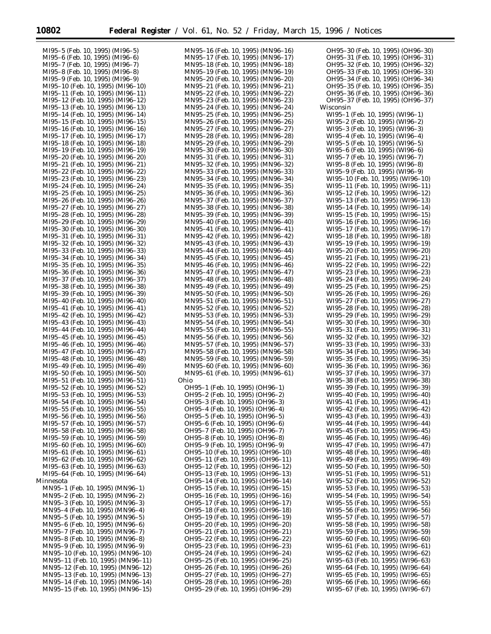Ξ

MN95–15 (Feb. 10, 1995) (MN96–15)

| MI95-5 (Feb. 10, 1995) (MI96-5)   | MN95-16 (Feb. 10, 1995) (MN96-16) | OH95-30 (Feb. 10, 1995) (OH96-30) |
|-----------------------------------|-----------------------------------|-----------------------------------|
| MI95-6 (Feb. 10, 1995) (MI96-6)   | MN95-17 (Feb. 10, 1995) (MN96-17) | OH95-31 (Feb. 10, 1995) (OH96-31) |
| MI95-7 (Feb. 10, 1995) (MI96-7)   | MN95-18 (Feb. 10, 1995) (MN96-18) | OH95-32 (Feb. 10, 1995) (OH96-32) |
| MI95-8 (Feb. 10, 1995) (MI96-8)   | MN95-19 (Feb. 10, 1995) (MN96-19) | OH95-33 (Feb. 10, 1995) (OH96-33) |
|                                   |                                   |                                   |
| MI95-9 (Feb. 10, 1995) (MI96-9)   | MN95-20 (Feb. 10, 1995) (MN96-20) | OH95-34 (Feb. 10, 1995) (OH96-34) |
| MI95-10 (Feb. 10, 1995) (MI96-10) | MN95-21 (Feb. 10, 1995) (MN96-21) | OH95-35 (Feb. 10, 1995) (OH96-35) |
| MI95-11 (Feb. 10, 1995) (MI96-11) | MN95-22 (Feb. 10, 1995) (MN96-22) | OH95-36 (Feb. 10, 1995) (OH96-36) |
| MI95-12 (Feb. 10, 1995) (MI96-12) | MN95-23 (Feb. 10, 1995) (MN96-23) | OH95-37 (Feb. 10, 1995) (OH96-37) |
| MI95-13 (Feb. 10, 1995) (MI96-13) | MN95-24 (Feb. 10, 1995) (MN96-24) | Wisconsin                         |
| MI95-14 (Feb. 10, 1995) (MI96-14) |                                   | WI95-1 (Feb. 10, 1995) (WI96-1)   |
|                                   | MN95-25 (Feb. 10, 1995) (MN96-25) |                                   |
| MI95-15 (Feb. 10, 1995) (MI96-15) | MN95-26 (Feb. 10, 1995) (MN96-26) | WI95–2 (Feb. 10, 1995) (WI96–2)   |
| MI95-16 (Feb. 10, 1995) (MI96-16) | MN95-27 (Feb. 10, 1995) (MN96-27) | WI95-3 (Feb. 10, 1995) (WI96-3)   |
| MI95-17 (Feb. 10, 1995) (MI96-17) | MN95-28 (Feb. 10, 1995) (MN96-28) | WI95–4 (Feb. 10, 1995) (WI96–4)   |
| MI95-18 (Feb. 10, 1995) (MI96-18) | MN95-29 (Feb. 10, 1995) (MN96-29) | WI95-5 (Feb. 10, 1995) (WI96-5)   |
| MI95-19 (Feb. 10, 1995) (MI96-19) | MN95-30 (Feb. 10, 1995) (MN96-30) | WI95-6 (Feb. 10, 1995) (WI96-6)   |
| MI95-20 (Feb. 10, 1995) (MI96-20) | MN95-31 (Feb. 10, 1995) (MN96-31) | WI95-7 (Feb. 10, 1995) (WI96-7)   |
| MI95-21 (Feb. 10, 1995) (MI96-21) | MN95-32 (Feb. 10, 1995) (MN96-32) | WI95–8 (Feb. 10, 1995) (WI96–8)   |
|                                   |                                   |                                   |
| MI95-22 (Feb. 10, 1995) (MI96-22) | MN95-33 (Feb. 10, 1995) (MN96-33) | WI95-9 (Feb. 10, 1995) (WI96-9)   |
| MI95-23 (Feb. 10, 1995) (MI96-23) | MN95-34 (Feb. 10, 1995) (MN96-34) | WI95-10 (Feb. 10, 1995) (WI96-10) |
| MI95-24 (Feb. 10, 1995) (MI96-24) | MN95-35 (Feb. 10, 1995) (MN96-35) | WI95-11 (Feb. 10, 1995) (WI96-11) |
| MI95-25 (Feb. 10, 1995) (MI96-25) | MN95-36 (Feb. 10, 1995) (MN96-36) | WI95-12 (Feb. 10, 1995) (WI96-12) |
| MI95-26 (Feb. 10, 1995) (MI96-26) | MN95-37 (Feb. 10, 1995) (MN96-37) | WI95-13 (Feb. 10, 1995) (WI96-13) |
| MI95-27 (Feb. 10, 1995) (MI96-27) | MN95-38 (Feb. 10, 1995) (MN96-38) | WI95-14 (Feb. 10, 1995) (WI96-14) |
| MI95-28 (Feb. 10, 1995) (MI96-28) | MN95-39 (Feb. 10, 1995) (MN96-39) | WI95-15 (Feb. 10, 1995) (WI96-15) |
|                                   |                                   |                                   |
| MI95-29 (Feb. 10, 1995) (MI96-29) | MN95-40 (Feb. 10, 1995) (MN96-40) | WI95-16 (Feb. 10, 1995) (WI96-16) |
| MI95-30 (Feb. 10, 1995) (MI96-30) | MN95-41 (Feb. 10, 1995) (MN96-41) | WI95-17 (Feb. 10, 1995) (WI96-17) |
| MI95-31 (Feb. 10, 1995) (MI96-31) | MN95-42 (Feb. 10, 1995) (MN96-42) | WI95-18 (Feb. 10, 1995) (WI96-18) |
| MI95-32 (Feb. 10, 1995) (MI96-32) | MN95-43 (Feb. 10, 1995) (MN96-43) | WI95-19 (Feb. 10, 1995) (WI96-19) |
| MI95-33 (Feb. 10, 1995) (MI96-33) | MN95-44 (Feb. 10, 1995) (MN96-44) | WI95-20 (Feb. 10, 1995) (WI96-20) |
| MI95-34 (Feb. 10, 1995) (MI96-34) | MN95-45 (Feb. 10, 1995) (MN96-45) | WI95-21 (Feb. 10, 1995) (WI96-21) |
|                                   |                                   |                                   |
| MI95-35 (Feb. 10, 1995) (MI96-35) | MN95-46 (Feb. 10, 1995) (MN96-46) | WI95-22 (Feb. 10, 1995) (WI96-22) |
| MI95-36 (Feb. 10, 1995) (MI96-36) | MN95-47 (Feb. 10, 1995) (MN96-47) | WI95-23 (Feb. 10, 1995) (WI96-23) |
| MI95-37 (Feb. 10, 1995) (MI96-37) | MN95-48 (Feb. 10, 1995) (MN96-48) | WI95-24 (Feb. 10, 1995) (WI96-24) |
| MI95-38 (Feb. 10, 1995) (MI96-38) | MN95-49 (Feb. 10, 1995) (MN96-49) | WI95-25 (Feb. 10, 1995) (WI96-25) |
| MI95-39 (Feb. 10, 1995) (MI96-39) | MN95-50 (Feb. 10, 1995) (MN96-50) | WI95–26 (Feb. 10, 1995) (WI96–26) |
| MI95-40 (Feb. 10, 1995) (MI96-40) | MN95-51 (Feb. 10, 1995) (MN96-51) | WI95-27 (Feb. 10, 1995) (WI96-27) |
| MI95-41 (Feb. 10, 1995) (MI96-41) | MN95-52 (Feb. 10, 1995) (MN96-52) | WI95-28 (Feb. 10, 1995) (WI96-28) |
| MI95-42 (Feb. 10, 1995) (MI96-42) | MN95-53 (Feb. 10, 1995) (MN96-53) | WI95-29 (Feb. 10, 1995) (WI96-29) |
|                                   | MN95-54 (Feb. 10, 1995) (MN96-54) | WI95-30 (Feb. 10, 1995) (WI96-30) |
| MI95-43 (Feb. 10, 1995) (MI96-43) |                                   |                                   |
| MI95-44 (Feb. 10, 1995) (MI96-44) | MN95-55 (Feb. 10, 1995) (MN96-55) | WI95-31 (Feb. 10, 1995) (WI96-31) |
| MI95-45 (Feb. 10, 1995) (MI96-45) | MN95-56 (Feb. 10, 1995) (MN96-56) | WI95-32 (Feb. 10, 1995) (WI96-32) |
| MI95-46 (Feb. 10, 1995) (MI96-46) | MN95-57 (Feb. 10, 1995) (MN96-57) | WI95-33 (Feb. 10, 1995) (WI96-33) |
| MI95-47 (Feb. 10, 1995) (MI96-47) | MN95-58 (Feb. 10, 1995) (MN96-58) | WI95-34 (Feb. 10, 1995) (WI96-34) |
| MI95-48 (Feb. 10, 1995) (MI96-48) | MN95-59 (Feb. 10, 1995) (MN96-59) | WI95-35 (Feb. 10, 1995) (WI96-35) |
| MI95-49 (Feb. 10, 1995) (MI96-49) | MN95-60 (Feb. 10, 1995) (MN96-60) | WI95-36 (Feb. 10, 1995) (WI96-36) |
| MI95-50 (Feb. 10, 1995) (MI96-50) | MN95-61 (Feb. 10, 1995) (MN96-61) | WI95-37 (Feb. 10, 1995) (WI96-37) |
| MI95-51 (Feb. 10, 1995) (MI96-51) | Ohio                              | WI95-38 (Feb. 10, 1995) (WI96-38) |
|                                   | OH95-1 (Feb. 10, 1995) (OH96-1)   |                                   |
| MI95-52 (Feb. 10, 1995) (MI96-52) |                                   | WI95-39 (Feb. 10, 1995) (WI96-39) |
| MI95-53 (Feb. 10, 1995) (MI96-53) | OH95-2 (Feb. 10, 1995) (OH96-2)   | WI95-40 (Feb. 10, 1995) (WI96-40) |
| MI95-54 (Feb. 10, 1995) (MI96-54) | OH95-3 (Feb. 10, 1995) (OH96-3)   | WI95-41 (Feb. 10, 1995) (WI96-41) |
| MI95-55 (Feb. 10, 1995) (MI96-55) | OH95-4 (Feb. 10, 1995) (OH96-4)   | WI95-42 (Feb. 10, 1995) (WI96-42) |
| MI95-56 (Feb. 10, 1995) (MI96-56) | OH95-5 (Feb. 10, 1995) (OH96-5)   | WI95-43 (Feb. 10, 1995) (WI96-43) |
| MI95-57 (Feb. 10, 1995) (MI96-57) | OH95-6 (Feb. 10, 1995) (OH96-6)   | WI95-44 (Feb. 10, 1995) (WI96-44) |
| MI95-58 (Feb. 10, 1995) (MI96-58) | OH95-7 (Feb. 10, 1995) (OH96-7)   | WI95-45 (Feb. 10, 1995) (WI96-45) |
| MI95-59 (Feb. 10, 1995) (MI96-59) | OH95-8 (Feb. 10, 1995) (OH96-8)   | WI95-46 (Feb. 10, 1995) (WI96-46) |
| MI95-60 (Feb. 10, 1995) (MI96-60) | OH95-9 (Feb. 10, 1995) (OH96-9)   | WI95-47 (Feb. 10, 1995) (WI96-47) |
|                                   |                                   |                                   |
| MI95-61 (Feb. 10, 1995) (MI96-61) | OH95-10 (Feb. 10, 1995) (OH96-10) | WI95-48 (Feb. 10, 1995) (WI96-48) |
| MI95-62 (Feb. 10, 1995) (MI96-62) | OH95-11 (Feb. 10, 1995) (OH96-11) | WI95-49 (Feb. 10, 1995) (WI96-49) |
| MI95-63 (Feb. 10, 1995) (MI96-63) | OH95-12 (Feb. 10, 1995) (OH96-12) | WI95-50 (Feb. 10, 1995) (WI96-50) |
| MI95-64 (Feb. 10, 1995) (MI96-64) | OH95-13 (Feb. 10, 1995) (OH96-13) | WI95-51 (Feb. 10, 1995) (WI96-51) |
| Minnesota                         | OH95-14 (Feb. 10, 1995) (OH96-14) | WI95-52 (Feb. 10, 1995) (WI96-52) |
| MN95-1 (Feb. 10, 1995) (MN96-1)   | OH95-15 (Feb. 10, 1995) (OH96-15) | WI95-53 (Feb. 10, 1995) (WI96-53) |
| MN95-2 (Feb. 10, 1995) (MN96-2)   | OH95-16 (Feb. 10, 1995) (OH96-16) | WI95-54 (Feb. 10, 1995) (WI96-54) |
|                                   |                                   |                                   |
| MN95-3 (Feb. 10, 1995) (MN96-3)   | OH95-17 (Feb. 10, 1995) (OH96-17) | WI95-55 (Feb. 10, 1995) (WI96-55) |
| MN95-4 (Feb. 10, 1995) (MN96-4)   | OH95-18 (Feb. 10, 1995) (OH96-18) | WI95-56 (Feb. 10, 1995) (WI96-56) |
| MN95-5 (Feb. 10, 1995) (MN96-5)   | OH95-19 (Feb. 10, 1995) (OH96-19) | WI95-57 (Feb. 10, 1995) (WI96-57) |
| MN95-6 (Feb. 10, 1995) (MN96-6)   | OH95-20 (Feb. 10, 1995) (OH96-20) | WI95-58 (Feb. 10, 1995) (WI96-58) |
| MN95-7 (Feb. 10, 1995) (MN96-7)   | OH95-21 (Feb. 10, 1995) (OH96-21) | WI95-59 (Feb. 10, 1995) (WI96-59) |
| MN95-8 (Feb. 10, 1995) (MN96-8)   | OH95-22 (Feb. 10, 1995) (OH96-22) | WI95-60 (Feb. 10, 1995) (WI96-60) |
| MN95-9 (Feb. 10, 1995) (MN96-9)   | OH95-23 (Feb. 10, 1995) (OH96-23) | WI95-61 (Feb. 10, 1995) (WI96-61) |
| MN95-10 (Feb. 10, 1995) (MN96-10) | OH95-24 (Feb. 10, 1995) (OH96-24) | WI95-62 (Feb. 10, 1995) (WI96-62) |
|                                   |                                   |                                   |
| MN95-11 (Feb. 10, 1995) (MN96-11) | OH95-25 (Feb. 10, 1995) (OH96-25) | WI95-63 (Feb. 10, 1995) (WI96-63) |
| MN95-12 (Feb. 10, 1995) (MN96-12) | OH95-26 (Feb. 10, 1995) (OH96-26) | WI95-64 (Feb. 10, 1995) (WI96-64) |
| MN95-13 (Feb. 10, 1995) (MN96-13) | OH95-27 (Feb. 10, 1995) (OH96-27) | WI95-65 (Feb. 10, 1995) (WI96-65) |
| MN95-14 (Feb. 10, 1995) (MN96-14) | OH95-28 (Feb. 10, 1995) (OH96-28) | WI95-66 (Feb. 10, 1995) (WI96-66) |

OH95–29 (Feb. 10, 1995) (OH96–29)

WI95–67 (Feb. 10, 1995) (WI96–67)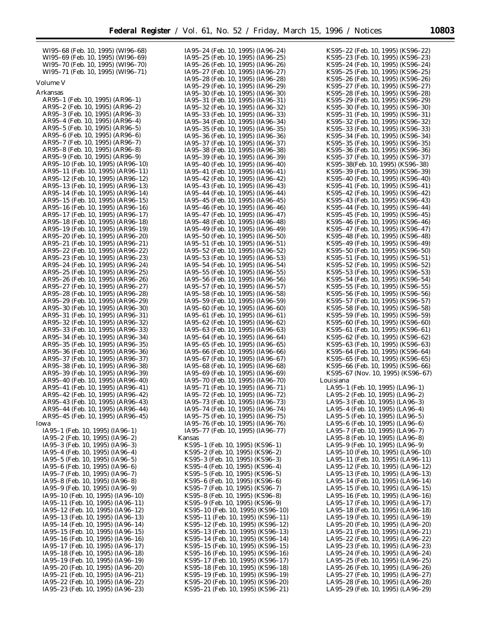| WI95-68 (Feb. 10, 1995) (WI96-68) | IA95-24 (Feb. 10, 1995) (IA96-24) | KS95–22 (Feb. 10, 1995) (KS96–22) |
|-----------------------------------|-----------------------------------|-----------------------------------|
| WI95–69 (Feb. 10, 1995) (WI96–69) | IA95-25 (Feb. 10, 1995) (IA96-25) | KS95-23 (Feb. 10, 1995) (KS96-23) |
| WI95–70 (Feb. 10, 1995) (WI96–70) | IA95-26 (Feb. 10, 1995) (IA96-26) | KS95-24 (Feb. 10, 1995) (KS96-24) |
|                                   |                                   |                                   |
| WI95-71 (Feb. 10, 1995) (WI96-71) | IA95-27 (Feb. 10, 1995) (IA96-27) | KS95–25 (Feb. 10, 1995) (KS96–25) |
| <i>Volume V</i>                   | IA95-28 (Feb. 10, 1995) (IA96-28) | KS95-26 (Feb. 10, 1995) (KS96-26) |
|                                   | IA95-29 (Feb. 10, 1995) (IA96-29) | KS95-27 (Feb. 10, 1995) (KS96-27) |
| Arkansas                          | IA95-30 (Feb. 10, 1995) (IA96-30) | KS95–28 (Feb. 10, 1995) (KS96–28) |
| AR95-1 (Feb. 10, 1995) (AR96-1)   | IA95-31 (Feb. 10, 1995) (IA96-31) | KS95-29 (Feb. 10, 1995) (KS96-29) |
| AR95-2 (Feb. 10, 1995) (AR96-2)   | IA95-32 (Feb. 10, 1995) (IA96-32) | KS95-30 (Feb. 10, 1995) (KS96-30) |
| AR95-3 (Feb. 10, 1995) (AR96-3)   | IA95-33 (Feb. 10, 1995) (IA96-33) | KS95-31 (Feb. 10, 1995) (KS96-31) |
| AR95–4 (Feb. 10, 1995) (AR96–4)   | IA95-34 (Feb. 10, 1995) (IA96-34) | KS95-32 (Feb. 10, 1995) (KS96-32) |
| AR95-5 (Feb. 10, 1995) (AR96-5)   | IA95-35 (Feb. 10, 1995) (IA96-35) | KS95-33 (Feb. 10, 1995) (KS96-33) |
| AR95-6 (Feb. 10, 1995) (AR96-6)   | IA95-36 (Feb. 10, 1995) (IA96-36) | KS95-34 (Feb. 10, 1995) (KS96-34) |
| AR95-7 (Feb. 10, 1995) (AR96-7)   |                                   |                                   |
|                                   | IA95-37 (Feb. 10, 1995) (IA96-37) | KS95-35 (Feb. 10, 1995) (KS96-35) |
| AR95-8 (Feb. 10, 1995) (AR96-8)   | IA95-38 (Feb. 10, 1995) (IA96-38) | KS95–36 (Feb. 10, 1995) (KS96–36) |
| AR95-9 (Feb. 10, 1995) (AR96-9)   | IA95-39 (Feb. 10, 1995) (IA96-39) | KS95-37 (Feb. 10, 1995) (KS96-37) |
| AR95-10 (Feb. 10, 1995) (AR96-10) | IA95-40 (Feb. 10, 1995) (IA96-40) | KS95-38(Feb. 10, 1995) (KS96-38)  |
| AR95-11 (Feb. 10, 1995) (AR96-11) | IA95-41 (Feb. 10, 1995) (IA96-41) | KS95–39 (Feb. 10, 1995) (KS96–39) |
| AR95–12 (Feb. 10, 1995) (AR96–12) | IA95-42 (Feb. 10, 1995) (IA96-42) | KS95–40 (Feb. 10, 1995) (KS96–40) |
| AR95-13 (Feb. 10, 1995) (AR96-13) | IA95-43 (Feb. 10, 1995) (IA96-43) | KS95–41 (Feb. 10, 1995) (KS96–41) |
| AR95–14 (Feb. 10, 1995) (AR96–14) | IA95-44 (Feb. 10, 1995) (IA96-44) | KS95–42 (Feb. 10, 1995) (KS96–42) |
| AR95-15 (Feb. 10, 1995) (AR96-15) | IA95-45 (Feb. 10, 1995) (IA96-45) | KS95-43 (Feb. 10, 1995) (KS96-43) |
| AR95-16 (Feb. 10, 1995) (AR96-16) | IA95-46 (Feb. 10, 1995) (IA96-46) | KS95–44 (Feb. 10, 1995) (KS96–44) |
| AR95-17 (Feb. 10, 1995) (AR96-17) | IA95-47 (Feb. 10, 1995) (IA96-47) | KS95–45 (Feb. 10, 1995) (KS96–45) |
| AR95-18 (Feb. 10, 1995) (AR96-18) |                                   | KS95-46 (Feb. 10, 1995) (KS96-46) |
|                                   | IA95-48 (Feb. 10, 1995) (IA96-48) |                                   |
| AR95-19 (Feb. 10, 1995) (AR96-19) | IA95-49 (Feb. 10, 1995) (IA96-49) | KS95-47 (Feb. 10, 1995) (KS96-47) |
| AR95-20 (Feb. 10, 1995) (AR96-20) | IA95-50 (Feb. 10, 1995) (IA96-50) | KS95–48 (Feb. 10, 1995) (KS96–48) |
| AR95-21 (Feb. 10, 1995) (AR96-21) | IA95–51 (Feb. 10, 1995) (IA96–51) | KS95-49 (Feb. 10, 1995) (KS96-49) |
| AR95–22 (Feb. 10, 1995) (AR96–22) | IA95–52 (Feb. 10, 1995) (IA96–52) | KS95-50 (Feb. 10, 1995) (KS96-50) |
| AR95-23 (Feb. 10, 1995) (AR96-23) | IA95–53 (Feb. 10, 1995) (IA96–53) | KS95–51 (Feb. 10, 1995) (KS96–51) |
| AR95–24 (Feb. 10, 1995) (AR96–24) | IA95–54 (Feb. 10, 1995) (IA96–54) | KS95–52 (Feb. 10, 1995) (KS96–52) |
| AR95-25 (Feb. 10, 1995) (AR96-25) | IA95–55 (Feb. 10, 1995) (IA96–55) | KS95–53 (Feb. 10, 1995) (KS96–53) |
| AR95-26 (Feb. 10, 1995) (AR96-26) | IA95–56 (Feb. 10, 1995) (IA96–56) | KS95–54 (Feb. 10, 1995) (KS96–54) |
| AR95-27 (Feb. 10, 1995) (AR96-27) | IA95–57 (Feb. 10, 1995) (IA96–57) | KS95–55 (Feb. 10, 1995) (KS96–55) |
| AR95-28 (Feb. 10, 1995) (AR96-28) | IA95–58 (Feb. 10, 1995) (IA96–58) | KS95–56 (Feb. 10, 1995) (KS96–56) |
|                                   |                                   |                                   |
| AR95-29 (Feb. 10, 1995) (AR96-29) | IA95–59 (Feb. 10, 1995) (IA96–59) | KS95–57 (Feb. 10, 1995) (KS96–57) |
| AR95-30 (Feb. 10, 1995) (AR96-30) | IA95-60 (Feb. 10, 1995) (IA96-60) | KS95–58 (Feb. 10, 1995) (KS96–58) |
| AR95-31 (Feb. 10, 1995) (AR96-31) | IA95-61 (Feb. 10, 1995) (IA96-61) | KS95–59 (Feb. 10, 1995) (KS96–59) |
| AR95-32 (Feb. 10, 1995) (AR96-32) | IA95–62 (Feb. 10, 1995) (IA96–62) | KS95–60 (Feb. 10, 1995) (KS96–60) |
| AR95-33 (Feb. 10, 1995) (AR96-33) | IA95-63 (Feb. 10, 1995) (IA96-63) | KS95–61 (Feb. 10, 1995) (KS96–61) |
| AR95-34 (Feb. 10, 1995) (AR96-34) | IA95–64 (Feb. 10, 1995) (IA96–64) | KS95–62 (Feb. 10, 1995) (KS96–62) |
| AR95-35 (Feb. 10, 1995) (AR96-35) | IA95–65 (Feb. 10, 1995) (IA96–65) | KS95–63 (Feb. 10, 1995) (KS96–63) |
| AR95-36 (Feb. 10, 1995) (AR96-36) | IA95-66 (Feb. 10, 1995) (IA96-66) | KS95–64 (Feb. 10, 1995) (KS96–64) |
| AR95–37 (Feb. 10, 1995) (AR96–37) | IA95–67 (Feb. 10, 1995) (IA96–67) | KS95–65 (Feb. 10, 1995) (KS96–65) |
| AR95-38 (Feb. 10, 1995) (AR96-38) | IA95-68 (Feb. 10, 1995) (IA96-68) | KS95–66 (Feb. 10, 1995) (KS96–66) |
| AR95-39 (Feb. 10, 1995) (AR96-39) | IA95-69 (Feb. 10, 1995) (IA96-69) | KS95–67 (Nov. 10, 1995) (KS96–67) |
| AR95-40 (Feb. 10, 1995) (AR96-40) | IA95-70 (Feb. 10, 1995) (IA96-70) | Louisiana                         |
|                                   |                                   |                                   |
| AR95-41 (Feb. 10, 1995) (AR96-41) | IA95-71 (Feb. 10, 1995) (IA96-71) | LA95-1 (Feb. 10, 1995) (LA96-1)   |
| AR95-42 (Feb. 10, 1995) (AR96-42) | IA95-72 (Feb. 10, 1995) (IA96-72) | LA95-2 (Feb. 10, 1995) (LA96-2)   |
| AR95-43 (Feb. 10, 1995) (AR96-43) | IA95-73 (Feb. 10, 1995) (IA96-73) | LA95-3 (Feb. 10, 1995) (LA96-3)   |
| AR95–44 (Feb. 10, 1995) (AR96–44) | IA95-74 (Feb. 10, 1995) (IA96-74) | LA95-4 (Feb. 10, 1995) (LA96-4)   |
| AR95-45 (Feb. 10, 1995) (AR96-45) | IA95–75 (Feb. 10, 1995) (IA96–75) | LA95-5 (Feb. 10, 1995) (LA96-5)   |
| Iowa                              | IA95-76 (Feb. 10, 1995) (IA96-76) | LA95-6 (Feb. 10, 1995) (LA96-6)   |
| IA95-1 (Feb. 10, 1995) (IA96-1)   | IA95-77 (Feb. 10, 1995) (IA96-77) | LA95-7 (Feb. 10, 1995) (LA96-7)   |
| IA95-2 (Feb. 10, 1995) (IA96-2)   | Kansas                            | LA95-8 (Feb. 10, 1995) (LA96-8)   |
| IA95-3 (Feb. 10, 1995) (IA96-3)   | KS95-1 (Feb. 10, 1995) (KS96-1)   | LA95-9 (Feb. 10, 1995) (LA96-9)   |
| IA95–4 (Feb. 10, 1995) (IA96–4)   | KS95–2 (Feb. 10, 1995) (KS96–2)   | LA95-10 (Feb. 10, 1995) (LA96-10) |
| IA95–5 (Feb. 10, 1995) (IA96–5)   | KS95-3 (Feb. 10, 1995) (KS96-3)   | LA95-11 (Feb. 10, 1995) (LA96-11) |
| IA95–6 (Feb. 10, 1995) (IA96–6)   | KS95–4 (Feb. 10, 1995) (KS96–4)   | LA95-12 (Feb. 10, 1995) (LA96-12) |
|                                   |                                   |                                   |
| IA95–7 (Feb. 10, 1995) (IA96–7)   | KS95–5 (Feb. 10, 1995) (KS96–5)   | LA95-13 (Feb. 10, 1995) (LA96-13) |
| IA95-8 (Feb. 10, 1995) (IA96-8)   | KS95–6 (Feb. 10, 1995) (KS96–6)   | LA95-14 (Feb. 10, 1995) (LA96-14) |
| IA95-9 (Feb. 10, 1995) (IA96-9)   | KS95-7 (Feb. 10, 1995) (KS96-7)   | LA95-15 (Feb. 10, 1995) (LA96-15) |
| IA95-10 (Feb. 10, 1995) (IA96-10) | KS95-8 (Feb. 10, 1995) (KS96-8)   | LA95-16 (Feb. 10, 1995) (LA96-16) |
| IA95-11 (Feb. 10, 1995) (IA96-11) | KS95-9 (Feb. 10, 1995) (KS96-9)   | LA95-17 (Feb. 10, 1995) (LA96-17) |
| IA95-12 (Feb. 10, 1995) (IA96-12) | KS95-10 (Feb. 10, 1995) (KS96-10) | LA95-18 (Feb. 10, 1995) (LA96-18) |
| IA95-13 (Feb. 10, 1995) (IA96-13) | KS95-11 (Feb. 10, 1995) (KS96-11) | LA95-19 (Feb. 10, 1995) (LA96-19) |
| IA95-14 (Feb. 10, 1995) (IA96-14) | KS95-12 (Feb. 10, 1995) (KS96-12) | LA95-20 (Feb. 10, 1995) (LA96-20) |
| IA95-15 (Feb. 10, 1995) (IA96-15) | KS95-13 (Feb. 10, 1995) (KS96-13) | LA95-21 (Feb. 10, 1995) (LA96-21) |
| IA95-16 (Feb. 10, 1995) (IA96-16) | KS95-14 (Feb. 10, 1995) (KS96-14) | LA95-22 (Feb. 10, 1995) (LA96-22) |
| IA95-17 (Feb. 10, 1995) (IA96-17) | KS95-15 (Feb. 10, 1995) (KS96-15) | LA95-23 (Feb. 10, 1995) (LA96-23) |
|                                   |                                   |                                   |
| IA95-18 (Feb. 10, 1995) (IA96-18) | KS95-16 (Feb. 10, 1995) (KS96-16) | LA95-24 (Feb. 10, 1995) (LA96-24) |
| IA95-19 (Feb. 10, 1995) (IA96-19) | KS95-17 (Feb. 10, 1995) (KS96-17) | LA95-25 (Feb. 10, 1995) (LA96-25) |
| IA95-20 (Feb. 10, 1995) (IA96-20) | KS95-18 (Feb. 10, 1995) (KS96-18) | LA95-26 (Feb. 10, 1995) (LA96-26) |
| IA95-21 (Feb. 10, 1995) (IA96-21) | KS95-19 (Feb. 10, 1995) (KS96-19) | LA95-27 (Feb. 10, 1995) (LA96-27) |
| IA95-22 (Feb. 10, 1995) (IA96-22) | KS95-20 (Feb. 10, 1995) (KS96-20) | LA95-28 (Feb. 10, 1995) (LA96-28) |
| IA95-23 (Feb. 10, 1995) (IA96-23) | KS95–21 (Feb. 10, 1995) (KS96–21) | LA95-29 (Feb. 10, 1995) (LA96-29) |

KS95–21 (Feb. 10, 1995) (KS96–21)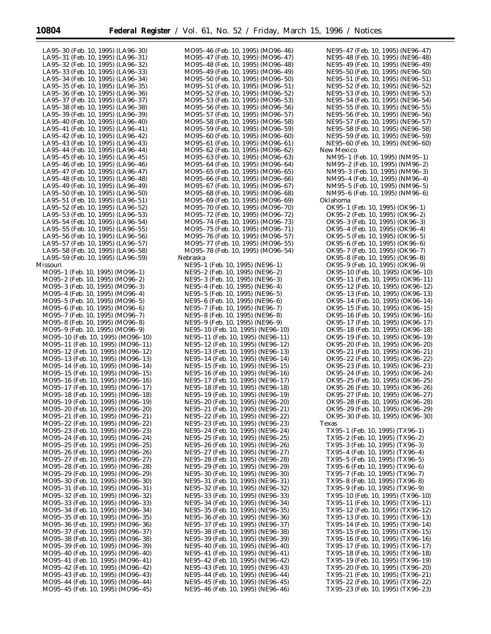MO95–46 (Feb. 10, 1995) (MO96–46)

| LA95-30 (Feb. 10, 1995) (LA96-30)                                      |  |
|------------------------------------------------------------------------|--|
| LA95-31 (Feb. 10, 1995) (LA96-31)                                      |  |
| LA95–32 (Feb. 10, 1995) (LA96–32)                                      |  |
| LA95-33 (Feb. 10, 1995) (LA96-33)                                      |  |
| LA95-34 (Feb. 10, 1995) (LA96-34)<br>LA95-35 (Feb. 10, 1995) (LA96-35) |  |
| LA95-36 (Feb. 10, 1995) (LA96-36)                                      |  |
| LA95-37 (Feb. 10, 1995) (LA96-37)                                      |  |
| LA95-38 (Feb. 10, 1995) (LA96-38)                                      |  |
| LA95-39 (Feb. 10, 1995) (LA96-39)                                      |  |
| LA95-40 (Feb. 10, 1995) (LA96-40)                                      |  |
| LA95-41 (Feb. 10, 1995) (LA96-41)                                      |  |
| LA95-42 (Feb. 10, 1995) (LA96-42)<br>LA95-43 (Feb. 10, 1995) (LA96-43) |  |
| LA95-44 (Feb. 10, 1995) (LA96-44)                                      |  |
| LA95-45 (Feb. 10, 1995) (LA96-45)                                      |  |
| LA95-46 (Feb. 10, 1995) (LA96-46)                                      |  |
| LA95-47 (Feb. 10, 1995) (LA96-47)                                      |  |
| LA95–48 (Feb. 10, 1995) (LA96–48)                                      |  |
| LA95-49 (Feb. 10, 1995) (LA96-49)<br>LA95-50 (Feb. 10, 1995) (LA96-50) |  |
| LA95-51 (Feb. 10, 1995) (LA96-51)                                      |  |
| LA95-52 (Feb. 10, 1995) (LA96-52)                                      |  |
| LA95-53 (Feb. 10, 1995) (LA96-53)                                      |  |
| LA95-54 (Feb. 10, 1995) (LA96-54)                                      |  |
| LA95-55 (Feb. 10, 1995) (LA96-55)                                      |  |
| LA95-56 (Feb. 10, 1995) (LA96-56)                                      |  |
| LA95-57 (Feb. 10, 1995) (LA96-57)                                      |  |
| LA95-58 (Feb. 10, 1995) (LA96-58)<br>LA95-59 (Feb. 10, 1995) (LA96-59) |  |
| Missouri                                                               |  |
| MO95-1 (Feb. 10, 1995) (MO96-1)                                        |  |
| MO95-2 (Feb. 10, 1995) (MO96-2)                                        |  |
| MO95-3 (Feb. 10, 1995) (MO96-3)                                        |  |
| MO95-4 (Feb. 10, 1995) (MO96-4)                                        |  |
| MO95-5 (Feb. 10, 1995) (MO96-5)<br>MO95-6 (Feb. 10, 1995) (MO96-6)     |  |
| MO95-7 (Feb. 10, 1995) (MO96-7)                                        |  |
| MO95-8 (Feb. 10, 1995) (MO96-8)                                        |  |
| MO95-9 (Feb. 10, 1995) (MO96-9)                                        |  |
| MO95-10 (Feb. 10, 1995) (MO96-10)                                      |  |
| MO95-11 (Feb. 10, 1995) (MO96-11)                                      |  |
| MO95-12 (Feb. 10, 1995) (MO96-12)                                      |  |
| MO95-13 (Feb. 10, 1995) (MO96-13)<br>MO95-14 (Feb. 10, 1995) (MO96-14) |  |
| MO95-15 (Feb. 10, 1995) (MO96-15)                                      |  |
| MO95-16 (Feb. 10, 1995) (MO96-16)                                      |  |
| MO95-17 (Feb. 10, 1995) (MO96-17)                                      |  |
| MO95-18 (Feb. 10, 1995) (MO96-18)                                      |  |
| MO95-19 (Feb. 10, 1995) (MO96-19)                                      |  |
| MO95–20 (Feb. 10, 1995) (MO96–20)                                      |  |
| MO95-21 (Feb. 10, 1995) (MO96-21)<br>MO95–22 (Feb. 10, 1995) (MO96–22) |  |
| MO95–23 (Feb. 10, 1995) (MO96–23)                                      |  |
| MO95-24 (Feb. 10, 1995) (MO96-24)                                      |  |
| MO95-25 (Feb. 10, 1995) (MO96-25)                                      |  |
| MO95–26 (Feb. 10, 1995) (MO96–26)                                      |  |
| MO95-27 (Feb. 10, 1995) (MO96-27)                                      |  |
| MO95-28 (Feb. 10, 1995) (MO96-28)                                      |  |
| MO95-29 (Feb. 10, 1995) (MO96-29)<br>MO95-30 (Feb. 10, 1995) (MO96-30) |  |
| MO95-31 (Feb. 10, 1995) (MO96-31)                                      |  |
| MO95-32 (Feb. 10, 1995) (MO96-32)                                      |  |
| MO95-33 (Feb. 10, 1995) (MO96-33)                                      |  |
| MO95-34 (Feb. 10, 1995) (MO96-34)                                      |  |
| MO95-35 (Feb. 10, 1995) (MO96-35)                                      |  |
| MO95-36 (Feb. 10, 1995) (MO96-36)                                      |  |
| MO95-37 (Feb. 10, 1995) (MO96-37)<br>MO95-38 (Feb. 10, 1995) (MO96-38) |  |
| MO95-39 (Feb. 10, 1995) (MO96-39)                                      |  |
| MO95-40 (Feb. 10, 1995) (MO96-40)                                      |  |
| MO95-41 (Feb. 10, 1995) (MO96-41)                                      |  |
|                                                                        |  |
| MO95-42 (Feb. 10, 1995) (MO96-42)                                      |  |
| MO95-43 (Feb. 10, 1995) (MO96-43)                                      |  |
| MO95-44 (Feb. 10, 1995) (MO96-44)<br>MO95-45 (Feb. 10. 1995) (MO96-45) |  |

MO95–47 (Feb. 10, 1995) (MO96–47) MO95–48 (Feb. 10, 1995) (MO96–48) MO95–49 (Feb. 10, 1995) (MO96–49) MO95–50 (Feb. 10, 1995) (MO96–50) MO95–51 (Feb. 10, 1995) (MO96–51) MO95–52 (Feb. 10, 1995) (MO96–52) MO95–53 (Feb. 10, 1995) (MO96–53) MO95–56 (Feb. 10, 1995) (MO96–56) MO95–57 (Feb. 10, 1995) (MO96–57) MO95–58 (Feb. 10, 1995) (MO96–58) MO95–59 (Feb. 10, 1995) (MO96–59) MO95–60 (Feb. 10, 1995) (MO96–60) MO95–61 (Feb. 10, 1995) (MO96–61) MO95–62 (Feb. 10, 1995) (MO96–62) MO95–63 (Feb. 10, 1995) (MO96–63) MO95–64 (Feb. 10, 1995) (MO96–64) MO95–65 (Feb. 10, 1995) (MO96–65) MO95–66 (Feb. 10, 1995) (MO96–66) MO95–67 (Feb. 10, 1995) (MO96–67) MO95–68 (Feb. 10, 1995) (MO96–68) MO95–69 (Feb. 10, 1995) (MO96–69) MO95–70 (Feb. 10, 1995) (MO96–70) MO95–72 (Feb. 10, 1995) (MO96–72) MO95–74 (Feb. 10, 1995) (MO96–73) MO95–75 (Feb. 10, 1995) (MO96–71) MO95–76 (Feb. 10, 1995) (MO96–57) MO95–77 (Feb. 10, 1995) (MO96–55) MO95–78 (Feb. 10, 1995) (MO96–54) Nebraska NE95–1 (Feb. 10, 1995) (NE96–1) NE95–2 (Feb. 10, 1995) (NE96–2) NE95–3 (Feb. 10, 1995) (NE96–3) NE95–4 (Feb. 10, 1995) (NE96–4) NE95–5 (Feb. 10, 1995) (NE96–5) NE95–6 (Feb. 10, 1995) (NE96–6) NE95–7 (Feb. 10, 1995) (NE96–7) NE95–8 (Feb. 10, 1995) (NE96–8) NE95–9 (Feb. 10, 1995) (NE96–9) NE95–10 (Feb. 10, 1995) (NE96–10) NE95–11 (Feb. 10, 1995) (NE96–11) NE95–12 (Feb. 10, 1995) (NE96–12) NE95–13 (Feb. 10, 1995) (NE96–13) NE95–14 (Feb. 10, 1995) (NE96–14) NE95–15 (Feb. 10, 1995) (NE96–15) NE95–16 (Feb. 10, 1995) (NE96–16) NE95–17 (Feb. 10, 1995) (NE96–17) NE95–18 (Feb. 10, 1995) (NE96–18) NE95–19 (Feb. 10, 1995) (NE96–19) NE95–20 (Feb. 10, 1995) (NE96–20) NE95–21 (Feb. 10, 1995) (NE96–21) NE95–22 (Feb. 10, 1995) (NE96–22) NE95–23 (Feb. 10, 1995) (NE96–23) NE95–24 (Feb. 10, 1995) (NE96–24) NE95–25 (Feb. 10, 1995) (NE96–25) NE95–26 (Feb. 10, 1995) (NE96–26) NE95–27 (Feb. 10, 1995) (NE96–27) NE95–28 (Feb. 10, 1995) (NE96–28) NE95–29 (Feb. 10, 1995) (NE96–29) NE95–30 (Feb. 10, 1995) (NE96–30) NE95–31 (Feb. 10, 1995) (NE96–31) NE95–32 (Feb. 10, 1995) (NE96–32) NE95–33 (Feb. 10, 1995) (NE96–33) NE95–34 (Feb. 10, 1995) (NE96–34) NE95–35 (Feb. 10, 1995) (NE96–35) NE95–36 (Feb. 10, 1995) (NE96–36) NE95–37 (Feb. 10, 1995) (NE96–37) NE95–38 (Feb. 10, 1995) (NE96–38) NE95–39 (Feb. 10, 1995) (NE96–39) NE95–40 (Feb. 10, 1995) (NE96–40) NE95–41 (Feb. 10, 1995) (NE96–41) NE95–42 (Feb. 10, 1995) (NE96–42) NE95–43 (Feb. 10, 1995) (NE96–43) NE95–44 (Feb. 10, 1995) (NE96–44) NE95–45 (Feb. 10, 1995) (NE96–45) NE95–46 (Feb. 10, 1995) (NE96–46)

| NE95-47 (Feb. 10, 1995)<br>(NE96–47)                               |
|--------------------------------------------------------------------|
| NE95-48 (Feb. 10, 1995)<br>(NE96-48)                               |
| NE95–49 (Feb. 10, 1995) (NE96–49)                                  |
| NE95-50 (Feb.<br>10, 1995) (NE96-50)                               |
| NE95-51 (Feb.<br>10, 1995) (NE96-51)                               |
| NE95-52 (Feb.<br>10, 1995) (NE96-52)                               |
| NE95-53 (Feb.<br>10, 1995) (NE96-53)                               |
| NE95-54 (Feb.<br>10, 1995) (NE96-54)                               |
| NE95-55 (Feb.<br>10, 1995) (NE96-55)                               |
| NE95-56 (Feb.<br>10, 1995) (NE96-56)                               |
| NE95-57 (Feb.<br>10, 1995) (NE96-57)                               |
| NE95–58 (Feb.<br>10, 1995) (NE96-58)                               |
| NE95-59 (Feb. 10, 1995) (NE96-59)                                  |
| NE95-60 (Feb. 10, 1995) (NE96-60)                                  |
| New Mexico                                                         |
| NM95-1 (Feb. 10, 1995) (NM95-1)                                    |
| NM95-2 (Feb. 10,<br>$(NM96-2)$<br>1995)                            |
| NM95-3 (Feb. 10,<br>1995) (NM96-3)                                 |
| NM95-4 (Feb. 10,<br>$(NM96-4)$<br>1995)                            |
|                                                                    |
| NM95-5 (Feb. 10, 1995) (NM96-5)<br>NM95-6 (Feb. 10, 1995) (NM96-6) |
|                                                                    |
| Oklahoma                                                           |
| OK95-1 (Feb. 10, 1995) (OK96-1)                                    |
| OK95-2 (Feb. 10, 1995) (OK96-2)                                    |
| OK95-3 (Feb.<br>10, 1995) (OK96-3)                                 |
| OK95-4 (Feb. 10, 1995) (OK96-4)                                    |
| OK95-5 (Feb.<br>10, 1995) (OK96-5)                                 |
| OK95-6 (Feb. 10, 1995) (OK96-6)                                    |
| OK95-7 (Feb.<br>10, 1995) (OK96-7)                                 |
| OK95-8 (Feb. 10, 1995) (OK96-8)                                    |
| OK95-9 (Feb. 10, 1995) (OK96-9)                                    |
| OK95-10 (Feb. 10, 1995) (OK96-10)                                  |
| OK95-11 (Feb. 10, 1995) (OK96-11)                                  |
| OK95-12 (Feb.<br>10, 1995) (OK96-12)                               |
| OK95-13 (Feb. 10, 1995) (OK96-13)                                  |
|                                                                    |
| OK95-14 (Feb.<br>10, 1995) (OK96-14)                               |
| OK95-15 (Feb. 10, 1995) (OK96-15)                                  |
| OK95-16 (Feb. 10, 1995) (OK96-16)                                  |
| OK95-17 (Feb. 10, 1995) (OK96-17)                                  |
| OK95-18 (Feb. 10, 1995) (OK96-18)                                  |
| OK95-19 (Feb. 10, 1995)<br>$(OK96-19)$                             |
| OK95-20 (Feb. 10, 1995) (OK96-20)                                  |
| OK95-21<br>(Feb. 10, 1995) (OK96-21)                               |
| OK95-22 (Feb. 10, 1995) (OK96-22)                                  |
| OK95-23 (Feb. 10, 1995) (OK96-23)                                  |
| OK95-24 (Feb. 10, 1995) (OK96-24)                                  |
| OK95-25 (Feb. 10, 1995) (OK96-25)                                  |
| OK95-26 (Feb. 10, 1995) (OK96-26)                                  |
| OK95-27 (Feb. 10, 1995) (OK96-27)                                  |
| OK95-28 (Feb. 10, 1995) (OK96-28)                                  |
|                                                                    |
| OK95-29 (Feb. 10, 1995) (OK96-29)                                  |
| OK95-30 (Feb. 10, 1995) (OK96-30)                                  |
| Texas                                                              |
| TX95–1 (Feb.<br>10, 1995) (TX96-1)                                 |
| TX95-2 (Feb.<br>10, 1995) (TX96-2)                                 |
| TX95-3 (Feb.<br>10, 1995) (TX96-3)                                 |
| TX95-4 (Feb.<br>10, 1995) (TX96-4)                                 |
| TX95-5 (Feb.<br>10, 1995) (TX96-5)                                 |
| TX95-6 (Feb.<br>$(TX96-6)$<br>10, 1995)                            |
| TX95-7 (Feb.<br>10, 1995) (TX96-7)                                 |
| TX95-8 (Feb.<br>10, 1995) (TX96-8)                                 |
| TX95-9 (Feb. 10, 1995) (TX96-9)                                    |
| TX95-10 (Feb. 10, 1995) (TX96-10)                                  |
| TX95-11 (Feb. 10, 1995) (TX96-11)                                  |
| TX95-12 (Feb. 10, 1995) (TX96-12)                                  |
| TX95-13 (Feb. 10, 1995) (TX96-13)                                  |
| TX95-14 (Feb.<br>10, 1995) (TX96-14)                               |
|                                                                    |
| TX95-15 (Feb. 10, 1995) (TX96-15)                                  |
| TX95-16 (Feb.<br>10, 1995) (TX96-16)                               |
| TX95-17 (Feb. 10, 1995) (TX96-17)                                  |
| TX95-18 (Feb.<br>10, 1995) (TX96-18)                               |
| TX95-19 (Feb. 10, 1995) (TX96-19)                                  |
| TX95-20 (Feb.<br>10, 1995) (TX96-20)                               |
| TX95-21 (Feb. 10, 1995) (TX96-21)                                  |
| TX95-22 (Feb. 10, 1995) (TX96-22)                                  |
| TX95-23 (Feb. 10, 1995) (TX96-23)                                  |
|                                                                    |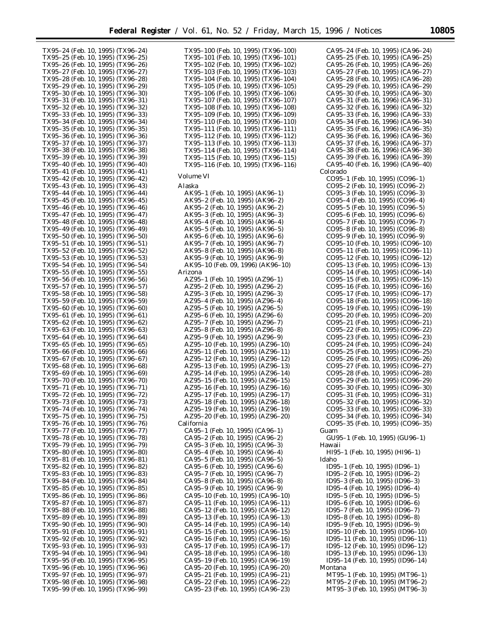TX95–24 (Feb. 10, 1995) (TX96–24) TX95–25 (Feb. 10, 1995) (TX96–25) TX95–26 (Feb. 10, 1995) (TX96–26) TX95–27 (Feb. 10, 1995) (TX96–27) TX95–28 (Feb. 10, 1995) (TX96–28) TX95–29 (Feb. 10, 1995) (TX96–29) TX95–30 (Feb. 10, 1995) (TX96–30) TX95–31 (Feb. 10, 1995) (TX96–31) TX95–32 (Feb. 10, 1995) (TX96–32) TX95–33 (Feb. 10, 1995) (TX96–33) TX95–34 (Feb. 10, 1995) (TX96–34) TX95–35 (Feb. 10, 1995) (TX96–35) TX95–36 (Feb. 10, 1995) (TX96–36) TX95–37 (Feb. 10, 1995) (TX96–37) TX95–38 (Feb. 10, 1995) (TX96–38) TX95–39 (Feb. 10, 1995) (TX96–39) TX95–40 (Feb. 10, 1995) (TX96–40) TX95–41 (Feb. 10, 1995) (TX96–41) TX95–42 (Feb. 10, 1995) (TX96–42) TX95–43 (Feb. 10, 1995) (TX96–43) TX95–44 (Feb. 10, 1995) (TX96–44) TX95–45 (Feb. 10, 1995) (TX96–45) TX95–46 (Feb. 10, 1995) (TX96–46) TX95–47 (Feb. 10, 1995) (TX96–47) TX95–48 (Feb. 10, 1995) (TX96–48) TX95–49 (Feb. 10, 1995) (TX96–49) TX95–50 (Feb. 10, 1995) (TX96–50) TX95–51 (Feb. 10, 1995) (TX96–51) TX95–52 (Feb. 10, 1995) (TX96–52) TX95–53 (Feb. 10, 1995) (TX96–53) TX95–54 (Feb. 10, 1995) (TX96–54) TX95–55 (Feb. 10, 1995) (TX96–55) TX95–56 (Feb. 10, 1995) (TX96–56) TX95–57 (Feb. 10, 1995) (TX96–57) TX95–58 (Feb. 10, 1995) (TX96–58) TX95–59 (Feb. 10, 1995) (TX96–59) TX95–60 (Feb. 10, 1995) (TX96–60) TX95–61 (Feb. 10, 1995) (TX96–61) TX95–62 (Feb. 10, 1995) (TX96–62) TX95–63 (Feb. 10, 1995) (TX96–63) TX95–64 (Feb. 10, 1995) (TX96–64) TX95–65 (Feb. 10, 1995) (TX96–65) TX95–66 (Feb. 10, 1995) (TX96–66) TX95–67 (Feb. 10, 1995) (TX96–67) TX95–68 (Feb. 10, 1995) (TX96–68) TX95–69 (Feb. 10, 1995) (TX96–69) TX95–70 (Feb. 10, 1995) (TX96–70) TX95–71 (Feb. 10, 1995) (TX96–71) TX95–72 (Feb. 10, 1995) (TX96–72) TX95–73 (Feb. 10, 1995) (TX96–73) TX95–74 (Feb. 10, 1995) (TX96–74) TX95–75 (Feb. 10, 1995) (TX96–75) TX95–76 (Feb. 10, 1995) (TX96–76) TX95–77 (Feb. 10, 1995) (TX96–77) TX95–78 (Feb. 10, 1995) (TX96–78) TX95–79 (Feb. 10, 1995) (TX96–79) TX95–80 (Feb. 10, 1995) (TX96–80) TX95–81 (Feb. 10, 1995) (TX96–81) TX95–82 (Feb. 10, 1995) (TX96–82) TX95–83 (Feb. 10, 1995) (TX96–83) TX95–84 (Feb. 10, 1995) (TX96–84) TX95–85 (Feb. 10, 1995) (TX96–85) TX95–86 (Feb. 10, 1995) (TX96–86) TX95–87 (Feb. 10, 1995) (TX96–87) TX95–88 (Feb. 10, 1995) (TX96–88) TX95–89 (Feb. 10, 1995) (TX96–89) TX95–90 (Feb. 10, 1995) (TX96–90) TX95–91 (Feb. 10, 1995) (TX96–91) TX95–92 (Feb. 10, 1995) (TX96–92) TX95–93 (Feb. 10, 1995) (TX96–93) TX95–94 (Feb. 10, 1995) (TX96–94) TX95–95 (Feb. 10, 1995) (TX96–95) TX95–96 (Feb. 10, 1995) (TX96–96) TX95–97 (Feb. 10, 1995) (TX96–97) TX95–98 (Feb. 10, 1995) (TX96–98) TX95–99 (Feb. 10, 1995) (TX96–99)

TX95–100 (Feb. 10, 1995) (TX96–100) TX95–101 (Feb. 10, 1995) (TX96–101) TX95–102 (Feb. 10, 1995) (TX96–102) TX95–103 (Feb. 10, 1995) (TX96–103) TX95–104 (Feb. 10, 1995) (TX96–104) TX95–105 (Feb. 10, 1995) (TX96–105) TX95–106 (Feb. 10, 1995) (TX96–106) TX95–107 (Feb. 10, 1995) (TX96–107) TX95–108 (Feb. 10, 1995) (TX96–108) TX95–109 (Feb. 10, 1995) (TX96–109) TX95–110 (Feb. 10, 1995) (TX96–110) TX95–111 (Feb. 10, 1995) (TX96–111) TX95–112 (Feb. 10, 1995) (TX96–112) TX95–113 (Feb. 10, 1995) (TX96–113) TX95–114 (Feb. 10, 1995) (TX96–114) TX95–115 (Feb. 10, 1995) (TX96–115) TX95–116 (Feb. 10, 1995) (TX96–116) *Volume VI* Alaska AK95–1 (Feb. 10, 1995) (AK96–1) AK95–2 (Feb. 10, 1995) (AK96–2) AK95–2 (Feb. 10, 1995) (AK96–2) AK95–3 (Feb. 10, 1995) (AK96–3) AK95–4 (Feb. 10, 1995) (AK96–4) AK95–5 (Feb. 10, 1995) (AK96–5) AK95–6 (Feb. 10, 1995) (AK96–6) AK95–7 (Feb. 10, 1995) (AK96–7) AK95–8 (Feb. 10, 1995) (AK96–8) AK95–9 (Feb. 10, 1995) (AK96–9) AK95–10 (Feb. 09, 1996) (AK96–10) Arizona AZ95–1 (Feb. 10, 1995) (AZ96–1) AZ95–2 (Feb. 10, 1995) (AZ96–2) AZ95–3 (Feb. 10, 1995) (AZ96–3) AZ95–4 (Feb. 10, 1995) (AZ96–4) AZ95–5 (Feb. 10, 1995) (AZ96–5) AZ95–6 (Feb. 10, 1995) (AZ96–6) AZ95–7 (Feb. 10, 1995) (AZ96–7) AZ95–8 (Feb. 10, 1995) (AZ96–8) AZ95–9 (Feb. 10, 1995) (AZ96–9) AZ95–10 (Feb. 10, 1995) (AZ96–10) AZ95–11 (Feb. 10, 1995) (AZ96–11) AZ95–12 (Feb. 10, 1995) (AZ96–12) AZ95–13 (Feb. 10, 1995) (AZ96–13) AZ95–14 (Feb. 10, 1995) (AZ96–14) AZ95–15 (Feb. 10, 1995) (AZ96–15) AZ95–16 (Feb. 10, 1995) (AZ96–16) AZ95–17 (Feb. 10, 1995) (AZ96–17) AZ95–18 (Feb. 10, 1995) (AZ96–18) AZ95–19 (Feb. 10, 1995) (AZ96–19) AZ95–20 (Feb. 10, 1995) (AZ96–20) California CA95–1 (Feb. 10, 1995) (CA96–1) CA95–2 (Feb. 10, 1995) (CA96–2) CA95–3 (Feb. 10, 1995) (CA96–3) CA95–4 (Feb. 10, 1995) (CA96–4) CA95–5 (Feb. 10, 1995) (CA96–5) CA95–6 (Feb. 10, 1995) (CA96–6) CA95–7 (Feb. 10, 1995) (CA96–7) CA95–8 (Feb. 10, 1995) (CA96–8) CA95–9 (Feb. 10, 1995) (CA96–9) CA95–10 (Feb. 10, 1995) (CA96–10) CA95–11 (Feb. 10, 1995) (CA96–11) CA95–12 (Feb. 10, 1995) (CA96–12) CA95–13 (Feb. 10, 1995) (CA96–13) CA95–14 (Feb. 10, 1995) (CA96–14) CA95–15 (Feb. 10, 1995) (CA96–15) CA95–16 (Feb. 10, 1995) (CA96–16) CA95–17 (Feb. 10, 1995) (CA96–17) CA95–18 (Feb. 10, 1995) (CA96–18) CA95–19 (Feb. 10, 1995) (CA96–19) CA95–20 (Feb. 10, 1995) (CA96–20) CA95–21 (Feb. 10, 1995) (CA96–21) CA95–22 (Feb. 10, 1995) (CA96–22) CA95–23 (Feb. 10, 1995) (CA96–23)

CA95–24 (Feb. 10, 1995) (CA96–24) CA95–25 (Feb. 10, 1995) (CA96–25) CA95–26 (Feb. 10, 1995) (CA96–26) CA95–27 (Feb. 10, 1995) (CA96–27) CA95–28 (Feb. 10, 1995) (CA96–28) CA95–29 (Feb. 10, 1995) (CA96–29) CA95–30 (Feb. 10, 1995) (CA96–30) CA95–31 (Feb. 16, 1996) (CA96–31) CA95–32 (Feb. 16, 1996) (CA96–32) CA95–33 (Feb. 16, 1996) (CA96–33) CA95–34 (Feb. 16, 1996) (CA96–34) CA95–35 (Feb. 16, 1996) (CA96–35) CA95–36 (Feb. 16, 1996) (CA96–36) CA95–37 (Feb. 16, 1996) (CA96–37) CA95–38 (Feb. 16, 1996) (CA96–38) CA95–39 (Feb. 16, 1996) (CA96–39) CA95–40 (Feb. 16, 1996) (CA96–40) Colorado CO95–1 (Feb. 10, 1995) (CO96–1) CO95–2 (Feb. 10, 1995) (CO96–2) CO95–3 (Feb. 10, 1995) (CO96–3) CO95–4 (Feb. 10, 1995) (CO96–4) CO95–5 (Feb. 10, 1995) (CO96–5) CO95–6 (Feb. 10, 1995) (CO96–6) CO95–7 (Feb. 10, 1995) (CO96–7) CO95–8 (Feb. 10, 1995) (CO96–8) CO95–9 (Feb. 10, 1995) (CO96–9) CO95–10 (Feb. 10, 1995) (CO96–10) CO95–11 (Feb. 10, 1995) (CO96–11) CO95–12 (Feb. 10, 1995) (CO96–12) CO95–13 (Feb. 10, 1995) (CO96–13) CO95–14 (Feb. 10, 1995) (CO96–14) CO95–15 (Feb. 10, 1995) (CO96–15) CO95–16 (Feb. 10, 1995) (CO96–16) CO95–17 (Feb. 10, 1995) (CO96–17) CO95–18 (Feb. 10, 1995) (CO96–18) CO95–19 (Feb. 10, 1995) (CO96–19) CO95–20 (Feb. 10, 1995) (CO96–20) CO95–21 (Feb. 10, 1995) (CO96–21) CO95–22 (Feb. 10, 1995) (CO96–22) CO95–23 (Feb. 10, 1995) (CO96–23) CO95–24 (Feb. 10, 1995) (CO96–24) CO95–25 (Feb. 10, 1995) (CO96–25) CO95–26 (Feb. 10, 1995) (CO96–26) CO95–27 (Feb. 10, 1995) (CO96–27) CO95–28 (Feb. 10, 1995) (CO96–28) CO95–29 (Feb. 10, 1995) (CO96–29) CO95–30 (Feb. 10, 1995) (CO96–30) CO95–31 (Feb. 10, 1995) (CO96–31) CO95–32 (Feb. 10, 1995) (CO96–32) CO95–33 (Feb. 10, 1995) (CO96–33) CO95–34 (Feb. 10, 1995) (CO96–34) CO95–35 (Feb. 10, 1995) (CO96–35) Guam GU95–1 (Feb. 10, 1995) (GU96–1) Hawaii HI95–1 (Feb. 10, 1995) (HI96–1) Idaho ID95–1 (Feb. 10, 1995) (ID96–1) ID95–2 (Feb. 10, 1995) (ID96–2) ID95–3 (Feb. 10, 1995) (ID96–3) ID95–4 (Feb. 10, 1995) (ID96–4) ID95–5 (Feb. 10, 1995) (ID96–5) ID95–6 (Feb. 10, 1995) (ID96–6) ID95–7 (Feb. 10, 1995) (ID96–7) ID95–8 (Feb. 10, 1995) (ID96–8) ID95–9 (Feb. 10, 1995) (ID96–9) ID95–10 (Feb. 10, 1995) (ID96–10) ID95–11 (Feb. 10, 1995) (ID96–11) ID95–12 (Feb. 10, 1995) (ID96–12) ID95–13 (Feb. 10, 1995) (ID96–13) ID95–14 (Feb. 10, 1995) (ID96–14) Montana MT95–1 (Feb. 10, 1995) (MT96–1) MT95–2 (Feb. 10, 1995) (MT96–2) MT95–3 (Feb. 10, 1995) (MT96–3)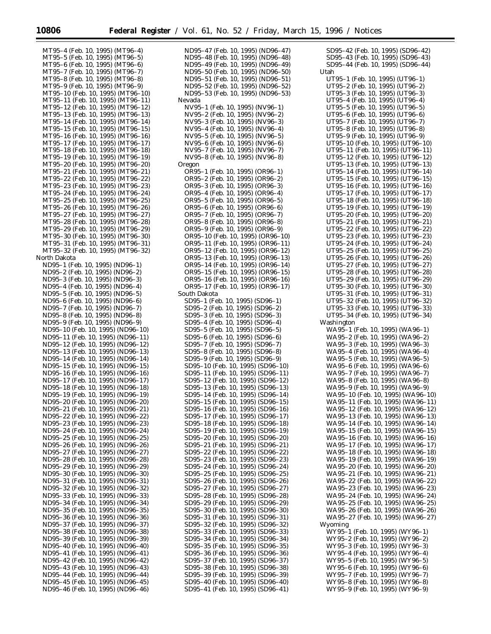MT95–4 (Feb. 10, 1995) (MT96–4) MT95–5 (Feb. 10, 1995) (MT96–5) MT95–6 (Feb. 10, 1995) (MT96–6) MT95–7 (Feb. 10, 1995) (MT96–7) MT95–8 (Feb. 10, 1995) (MT96–8) MT95–9 (Feb. 10, 1995) (MT96–9) MT95–10 (Feb. 10, 1995) (MT96–10) MT95–11 (Feb. 10, 1995) (MT96–11) MT95–12 (Feb. 10, 1995) (MT96–12) MT95–13 (Feb. 10, 1995) (MT96–13) MT95–14 (Feb. 10, 1995) (MT96–14) MT95–15 (Feb. 10, 1995) (MT96–15) MT95–16 (Feb. 10, 1995) (MT96–16) MT95–17 (Feb. 10, 1995) (MT96–17) MT95–18 (Feb. 10, 1995) (MT96–18) MT95–19 (Feb. 10, 1995) (MT96–19) MT95–20 (Feb. 10, 1995) (MT96–20) MT95–21 (Feb. 10, 1995) (MT96–21) MT95–22 (Feb. 10, 1995) (MT96–22) MT95–23 (Feb. 10, 1995) (MT96–23) MT95–24 (Feb. 10, 1995) (MT96–24) MT95–25 (Feb. 10, 1995) (MT96–25) MT95–26 (Feb. 10, 1995) (MT96–26) MT95–27 (Feb. 10, 1995) (MT96–27) MT95–28 (Feb. 10, 1995) (MT96–28) MT95–29 (Feb. 10, 1995) (MT96–29) MT95–30 (Feb. 10, 1995) (MT96–30) MT95–31 (Feb. 10, 1995) (MT96–31) MT95–32 (Feb. 10, 1995) (MT96–32) North Dakota ND95–1 (Feb. 10, 1995) (ND96–1) ND95–2 (Feb. 10, 1995) (ND96–2) ND95–3 (Feb. 10, 1995) (ND96–3) ND95–4 (Feb. 10, 1995) (ND96–4) ND95–5 (Feb. 10, 1995) (ND96–5) ND95–6 (Feb. 10, 1995) (ND96–6) ND95–7 (Feb. 10, 1995) (ND96–7) ND95–8 (Feb. 10, 1995) (ND96–8) ND95–9 (Feb. 10, 1995) (ND96–9) ND95–10 (Feb. 10, 1995) (ND96–10) ND95–11 (Feb. 10, 1995) (ND96–11) ND95–12 (Feb. 10, 1995) (ND96–12) ND95–13 (Feb. 10, 1995) (ND96–13) ND95–14 (Feb. 10, 1995) (ND96–14) ND95–15 (Feb. 10, 1995) (ND96–15) ND95–16 (Feb. 10, 1995) (ND96–16) ND95–17 (Feb. 10, 1995) (ND96–17) ND95–18 (Feb. 10, 1995) (ND96–18) ND95–19 (Feb. 10, 1995) (ND96–19) ND95–20 (Feb. 10, 1995) (ND96–20) ND95–21 (Feb. 10, 1995) (ND96–21) ND95–22 (Feb. 10, 1995) (ND96–22) ND95–23 (Feb. 10, 1995) (ND96–23) ND95–24 (Feb. 10, 1995) (ND96–24) ND95–25 (Feb. 10, 1995) (ND96–25) ND95–26 (Feb. 10, 1995) (ND96–26) ND95–27 (Feb. 10, 1995) (ND96–27) ND95–28 (Feb. 10, 1995) (ND96–28) ND95–29 (Feb. 10, 1995) (ND96–29) ND95–30 (Feb. 10, 1995) (ND96–30) ND95–31 (Feb. 10, 1995) (ND96–31) ND95–32 (Feb. 10, 1995) (ND96–32) ND95–33 (Feb. 10, 1995) (ND96–33) ND95–34 (Feb. 10, 1995) (ND96–34) ND95–35 (Feb. 10, 1995) (ND96–35) ND95–36 (Feb. 10, 1995) (ND96–36) ND95–37 (Feb. 10, 1995) (ND96–37) ND95–38 (Feb. 10, 1995) (ND96–38) ND95–39 (Feb. 10, 1995) (ND96–39) ND95–40 (Feb. 10, 1995) (ND96–40) ND95–41 (Feb. 10, 1995) (ND96–41) ND95–42 (Feb. 10, 1995) (ND96–42) ND95–43 (Feb. 10, 1995) (ND96–43) ND95–44 (Feb. 10, 1995) (ND96–44) ND95–45 (Feb. 10, 1995) (ND96–45)

ND95–46 (Feb. 10, 1995) (ND96–46)

ND95–47 (Feb. 10, 1995) (ND96–47) ND95–48 (Feb. 10, 1995) (ND96–48) ND95–49 (Feb. 10, 1995) (ND96–49) ND95–50 (Feb. 10, 1995) (ND96–50) ND95–51 (Feb. 10, 1995) (ND96–51) ND95–52 (Feb. 10, 1995) (ND96–52) ND95–53 (Feb. 10, 1995) (ND96–53) Nevada NV95–1 (Feb. 10, 1995) (NV96–1) NV95–2 (Feb. 10, 1995) (NV96–2) NV95–3 (Feb. 10, 1995) (NV96–3) NV95–4 (Feb. 10, 1995) (NV96–4) NV95–5 (Feb. 10, 1995) (NV96–5) NV95–6 (Feb. 10, 1995) (NV96–6) NV95–7 (Feb. 10, 1995) (NV96–7) NV95–8 (Feb. 10, 1995) (NV96–8) Oregon OR95–1 (Feb. 10, 1995) (OR96–1) OR95–2 (Feb. 10, 1995) (OR96–2) OR95–3 (Feb. 10, 1995) (OR96–3) OR95–4 (Feb. 10, 1995) (OR96–4) OR95–5 (Feb. 10, 1995) (OR96–5) OR95–6 (Feb. 10, 1995) (OR96–6) OR95–7 (Feb. 10, 1995) (OR96–7) OR95–8 (Feb. 10, 1995) (OR96–8) OR95–9 (Feb. 10, 1995) (OR96–9) OR95–10 (Feb. 10, 1995) (OR96–10) OR95–11 (Feb. 10, 1995) (OR96–11) OR95–12 (Feb. 10, 1995) (OR96–12) OR95–13 (Feb. 10, 1995) (OR96–13) OR95–14 (Feb. 10, 1995) (OR96–14) OR95–15 (Feb. 10, 1995) (OR96–15) OR95–16 (Feb. 10, 1995) (OR96–16) OR95–17 (Feb. 10, 1995) (OR96–17) South Dakota SD95–1 (Feb. 10, 1995) (SD96–1) SD95–2 (Feb. 10, 1995) (SD96–2) SD95–3 (Feb. 10, 1995) (SD96–3) SD95–4 (Feb. 10, 1995) (SD96–4) SD95–5 (Feb. 10, 1995) (SD96–5) SD95–6 (Feb. 10, 1995) (SD96–6) SD95–7 (Feb. 10, 1995) (SD96–7) SD95–8 (Feb. 10, 1995) (SD96–8) SD95–9 (Feb. 10, 1995) (SD96–9) SD95–10 (Feb. 10, 1995) (SD96–10) SD95–11 (Feb. 10, 1995) (SD96–11) SD95–12 (Feb. 10, 1995) (SD96–12) SD95–13 (Feb. 10, 1995) (SD96–13) SD95–14 (Feb. 10, 1995) (SD96–14) SD95–15 (Feb. 10, 1995) (SD96–15) SD95–16 (Feb. 10, 1995) (SD96–16) SD95–17 (Feb. 10, 1995) (SD96–17) SD95–18 (Feb. 10, 1995) (SD96–18) SD95–19 (Feb. 10, 1995) (SD96–19) SD95–20 (Feb. 10, 1995) (SD96–20) SD95–21 (Feb. 10, 1995) (SD96–21) SD95–22 (Feb. 10, 1995) (SD96–22) SD95–23 (Feb. 10, 1995) (SD96–23) SD95–24 (Feb. 10, 1995) (SD96–24) SD95–25 (Feb. 10, 1995) (SD96–25) SD95–26 (Feb. 10, 1995) (SD96–26) SD95–27 (Feb. 10, 1995) (SD96–27) SD95–28 (Feb. 10, 1995) (SD96–28) SD95–29 (Feb. 10, 1995) (SD96–29) SD95–30 (Feb. 10, 1995) (SD96–30) SD95–31 (Feb. 10, 1995) (SD96–31) SD95–32 (Feb. 10, 1995) (SD96–32) SD95–33 (Feb. 10, 1995) (SD96–33) SD95–34 (Feb. 10, 1995) (SD96–34) SD95–35 (Feb. 10, 1995) (SD96–35) SD95–36 (Feb. 10, 1995) (SD96–36) SD95–37 (Feb. 10, 1995) (SD96–37) SD95–38 (Feb. 10, 1995) (SD96–38) SD95–39 (Feb. 10, 1995) (SD96–39) SD95–40 (Feb. 10, 1995) (SD96–40) SD95–41 (Feb. 10, 1995) (SD96–41)

SD95–42 (Feb. 10, 1995) (SD96–42) SD95–43 (Feb. 10, 1995) (SD96–43) SD95–44 (Feb. 10, 1995) (SD96–44) Utah UT95–1 (Feb. 10, 1995) (UT96–1) UT95–2 (Feb. 10, 1995) (UT96–2) UT95–3 (Feb. 10, 1995) (UT96–3) UT95–4 (Feb. 10, 1995) (UT96–4) UT95–5 (Feb. 10, 1995) (UT96–5) UT95–6 (Feb. 10, 1995) (UT96–6) UT95–7 (Feb. 10, 1995) (UT96–7) UT95–8 (Feb. 10, 1995) (UT96–8) UT95–9 (Feb. 10, 1995) (UT96–9) UT95–10 (Feb. 10, 1995) (UT96–10) UT95–11 (Feb. 10, 1995) (UT96–11) UT95–12 (Feb. 10, 1995) (UT96–12) UT95–13 (Feb. 10, 1995) (UT96–13) UT95–14 (Feb. 10, 1995) (UT96–14) UT95–15 (Feb. 10, 1995) (UT96–15) UT95–16 (Feb. 10, 1995) (UT96–16) UT95–17 (Feb. 10, 1995) (UT96–17) UT95–18 (Feb. 10, 1995) (UT96–18) UT95–19 (Feb. 10, 1995) (UT96–19) UT95–20 (Feb. 10, 1995) (UT96–20) UT95–21 (Feb. 10, 1995) (UT96–21) UT95–22 (Feb. 10, 1995) (UT96–22) UT95–23 (Feb. 10, 1995) (UT96–23) UT95–24 (Feb. 10, 1995) (UT96–24) UT95–25 (Feb. 10, 1995) (UT96–25) UT95–26 (Feb. 10, 1995) (UT96–26) UT95–27 (Feb. 10, 1995) (UT96–27) UT95–28 (Feb. 10, 1995) (UT96–28) UT95–29 (Feb. 10, 1995) (UT96–29) UT95–30 (Feb. 10, 1995) (UT96–30) UT95–31 (Feb. 10, 1995) (UT96–31) UT95–32 (Feb. 10, 1995) (UT96–32) UT95–33 (Feb. 10, 1995) (UT96–33) UT95–34 (Feb. 10, 1995) (UT96–34) Washington WA95–1 (Feb. 10, 1995) (WA96–1) WA95–2 (Feb. 10, 1995) (WA96–2) WA95–3 (Feb. 10, 1995) (WA96–3) WA95–4 (Feb. 10, 1995) (WA96–4) WA95–5 (Feb. 10, 1995) (WA96–5) WA95–6 (Feb. 10, 1995) (WA96–6) WA95–7 (Feb. 10, 1995) (WA96–7) WA95–8 (Feb. 10, 1995) (WA96–8) WA95–9 (Feb. 10, 1995) (WA96–9) WA95–10 (Feb. 10, 1995) (WA96–10) WA95–11 (Feb. 10, 1995) (WA96–11) WA95–12 (Feb. 10, 1995) (WA96–12) WA95–13 (Feb. 10, 1995) (WA96–13) WA95–14 (Feb. 10, 1995) (WA96–14) WA95–15 (Feb. 10, 1995) (WA96–15) WA95–16 (Feb. 10, 1995) (WA96–16) WA95–17 (Feb. 10, 1995) (WA96–17) WA95–18 (Feb. 10, 1995) (WA96–18) WA95–19 (Feb. 10, 1995) (WA96–19) WA95–20 (Feb. 10, 1995) (WA96–20) WA95–21 (Feb. 10, 1995) (WA96–21) WA95–22 (Feb. 10, 1995) (WA96–22) WA95–23 (Feb. 10, 1995) (WA96–23) WA95–24 (Feb. 10, 1995) (WA96–24) WA95–25 (Feb. 10, 1995) (WA96–25) WA95–26 (Feb. 10, 1995) (WA96–26) WA95–27 (Feb. 10, 1995) (WA96–27) Wyoming WY95–1 (Feb. 10, 1995) (WY96–1) WY95–2 (Feb. 10, 1995) (WY96–2) WY95–3 (Feb. 10, 1995) (WY96–3) WY95–4 (Feb. 10, 1995) (WY96–4) WY95–5 (Feb. 10, 1995) (WY96–5) WY95–6 (Feb. 10, 1995) (WY96–6) WY95–7 (Feb. 10, 1995) (WY96–7) WY95–8 (Feb. 10, 1995) (WY96–8) WY95–9 (Feb. 10, 1995) (WY96–9)